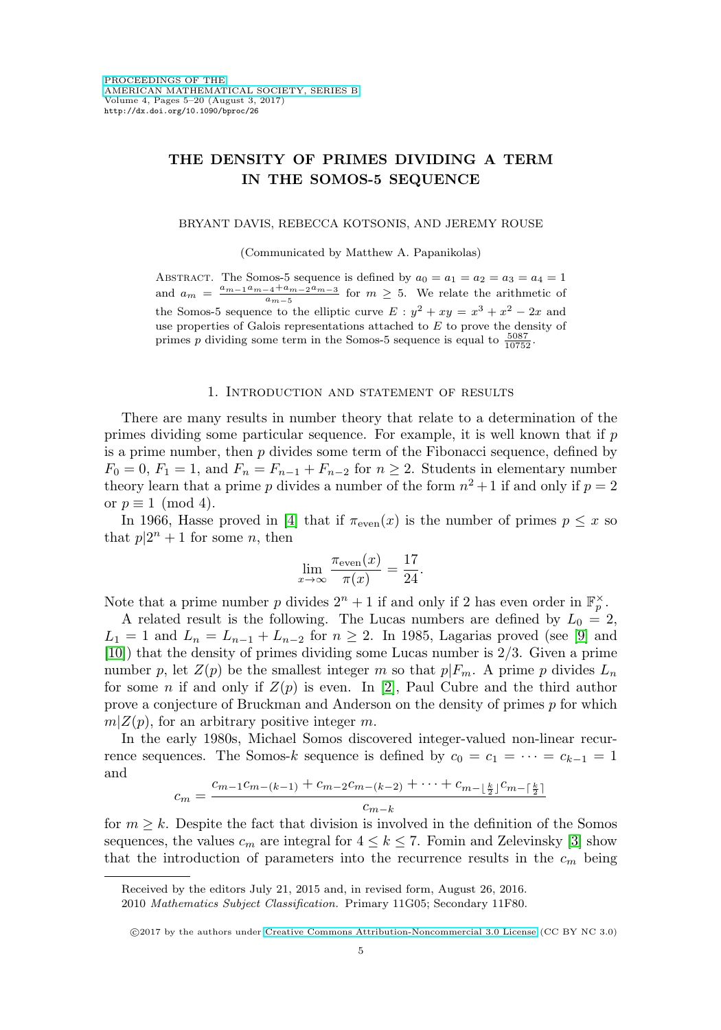# **THE DENSITY OF PRIMES DIVIDING A TERM IN THE SOMOS-5 SEQUENCE**

#### BRYANT DAVIS, REBECCA KOTSONIS, AND JEREMY ROUSE

(Communicated by Matthew A. Papanikolas)

ABSTRACT. The Somos-5 sequence is defined by  $a_0 = a_1 = a_2 = a_3 = a_4 = 1$ and  $a_m = \frac{a_{m-1}a_{m-4}+a_{m-2}a_{m-3}}{a_{m-5}}$  for  $m \geq 5$ . We relate the arithmetic of the Somos-5 sequence to the elliptic curve  $E : y^2 + xy = x^3 + x^2 - 2x$  and use properties of Galois representations attached to E to prove the density of primes p dividing some term in the Somos-5 sequence is equal to  $\frac{5087}{10752}$ .

### 1. Introduction and statement of results

There are many results in number theory that relate to a determination of the primes dividing some particular sequence. For example, it is well known that if p is a prime number, then  $p$  divides some term of the Fibonacci sequence, defined by  $F_0 = 0, F_1 = 1$ , and  $F_n = F_{n-1} + F_{n-2}$  for  $n \geq 2$ . Students in elementary number theory learn that a prime p divides a number of the form  $n^2 + 1$  if and only if  $p = 2$ or  $p \equiv 1 \pmod{4}$ .

In 1966, Hasse proved in [\[4\]](#page-14-0) that if  $\pi_{even}(x)$  is the number of primes  $p \leq x$  so that  $p|2^n + 1$  for some n, then

$$
\lim_{x \to \infty} \frac{\pi_{\text{even}}(x)}{\pi(x)} = \frac{17}{24}.
$$

Note that a prime number p divides  $2^n + 1$  if and only if 2 has even order in  $\mathbb{F}_p^{\times}$ .

A related result is the following. The Lucas numbers are defined by  $L_0 = 2$ ,  $L_1 = 1$  and  $L_n = L_{n-1} + L_{n-2}$  for  $n \geq 2$ . In 1985, Lagarias proved (see [\[9\]](#page-14-1) and [\[10\]](#page-14-2)) that the density of primes dividing some Lucas number is 2/3. Given a prime number p, let  $Z(p)$  be the smallest integer m so that  $p|F_m$ . A prime p divides  $L_n$ for some *n* if and only if  $Z(p)$  is even. In [\[2\]](#page-14-3), Paul Cubre and the third author prove a conjecture of Bruckman and Anderson on the density of primes p for which  $m|Z(p)$ , for an arbitrary positive integer m.

In the early 1980s, Michael Somos discovered integer-valued non-linear recurrence sequences. The Somos-k sequence is defined by  $c_0 = c_1 = \cdots = c_{k-1} = 1$ and

$$
c_m = \frac{c_{m-1}c_{m-(k-1)} + c_{m-2}c_{m-(k-2)} + \dots + c_{m-\lfloor \frac{k}{2} \rfloor}c_{m-\lceil \frac{k}{2} \rceil}}{c_{m-k}}
$$

for  $m \geq k$ . Despite the fact that division is involved in the definition of the Somos sequences, the values  $c_m$  are integral for  $4 \leq k \leq 7$ . Fomin and Zelevinsky [\[3\]](#page-14-4) show that the introduction of parameters into the recurrence results in the  $c_m$  being

Received by the editors July 21, 2015 and, in revised form, August 26, 2016.

<sup>2010</sup> Mathematics Subject Classification. Primary 11G05; Secondary 11F80.

<sup>©2017</sup> by the authors under [Creative Commons Attribution-Noncommercial 3.0 License](http://creativecommons.org/licenses/by-nc/3.0/) (CC BY NC 3.0)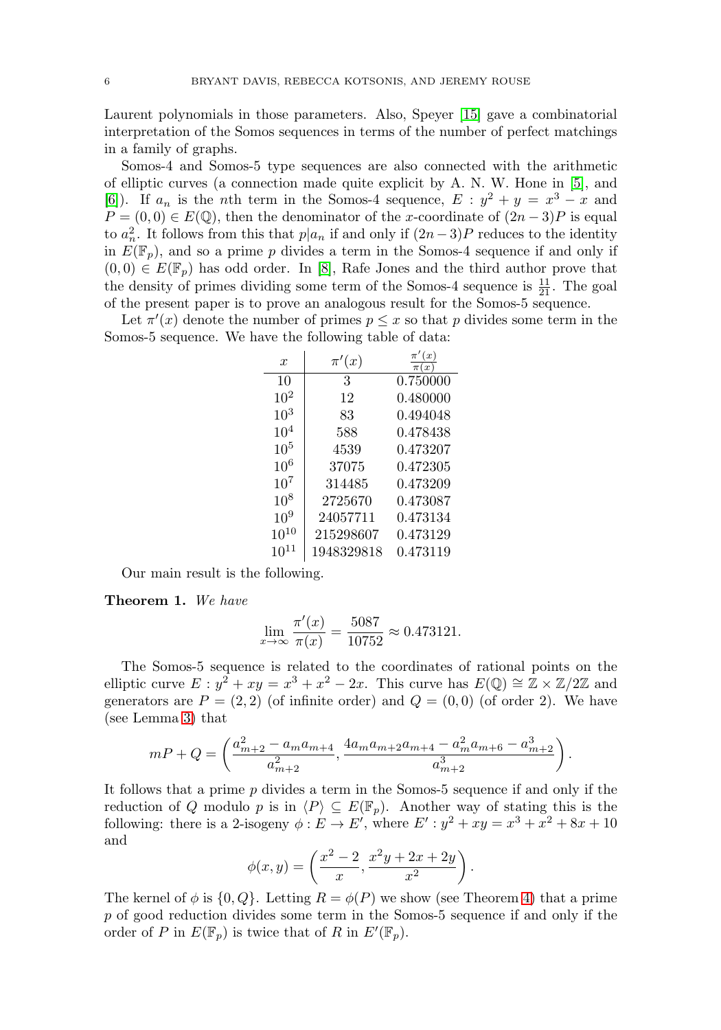Laurent polynomials in those parameters. Also, Speyer [\[15\]](#page-15-0) gave a combinatorial interpretation of the Somos sequences in terms of the number of perfect matchings in a family of graphs.

Somos-4 and Somos-5 type sequences are also connected with the arithmetic of elliptic curves (a connection made quite explicit by A. N. W. Hone in [\[5\]](#page-14-5), and [\[6\]](#page-14-6)). If  $a_n$  is the *n*th term in the Somos-4 sequence,  $E : y^2 + y = x^3 - x$  and  $P = (0, 0) \in E(\mathbb{Q})$ , then the denominator of the x-coordinate of  $(2n-3)P$  is equal to  $a_n^2$ . It follows from this that  $p|a_n$  if and only if  $(2n-3)P$  reduces to the identity in  $E(\mathbb{F}_p)$ , and so a prime p divides a term in the Somos-4 sequence if and only if  $(0,0) \in E(\mathbb{F}_p)$  has odd order. In [\[8\]](#page-14-7), Rafe Jones and the third author prove that the density of primes dividing some term of the Somos-4 sequence is  $\frac{11}{21}$ . The goal of the present paper is to prove an analogous result for the Somos-5 sequence.

Let  $\pi'(x)$  denote the number of primes  $p \leq x$  so that p divides some term in the Somos-5 sequence. We have the following table of data:

| $\boldsymbol{x}$ | $\pi'(x)$  | (x)<br>$\pi'$<br>$\boldsymbol{x}$ |
|------------------|------------|-----------------------------------|
| 10               | 3          | 0.750000                          |
| $10^{2}$         | 12         | 0.480000                          |
| $10^{3}$         | 83         | 0.494048                          |
| $10^{4}$         | 588        | 0.478438                          |
| 10 <sup>5</sup>  | 4539       | 0.473207                          |
| $10^{6}$         | 37075      | 0.472305                          |
| $10^{7}$         | 314485     | 0.473209                          |
| $10^{8}$         | 2725670    | 0.473087                          |
| $10^{9}$         | 24057711   | 0.473134                          |
| $10^{10}$        | 215298607  | 0.473129                          |
| 10 <sup>1</sup>  | 1948329818 | 0.473119                          |

Our main result is the following.

<span id="page-1-0"></span>**Theorem 1.** We have

$$
\lim_{x \to \infty} \frac{\pi'(x)}{\pi(x)} = \frac{5087}{10752} \approx 0.473121.
$$

The Somos-5 sequence is related to the coordinates of rational points on the elliptic curve  $E: y^2 + xy = x^3 + x^2 - 2x$ . This curve has  $E(\mathbb{Q}) \cong \mathbb{Z} \times \mathbb{Z}/2\mathbb{Z}$  and generators are  $P = (2, 2)$  (of infinite order) and  $Q = (0, 0)$  (of order 2). We have (see Lemma [3\)](#page-3-0) that

$$
mP + Q = \left(\frac{a_{m+2}^2 - a_m a_{m+4}}{a_{m+2}^2}, \frac{4a_m a_{m+2} a_{m+4} - a_m^2 a_{m+6} - a_{m+2}^3}{a_{m+2}^3}\right).
$$

It follows that a prime p divides a term in the Somos-5 sequence if and only if the reduction of Q modulo p is in  $\langle P \rangle \subseteq E(\mathbb{F}_p)$ . Another way of stating this is the following: there is a 2-isogeny  $\phi : E \to E'$ , where  $E' : y^2 + xy = x^3 + x^2 + 8x + 10$ and

$$
\phi(x,y) = \left(\frac{x^2 - 2}{x}, \frac{x^2y + 2x + 2y}{x^2}\right).
$$

The kernel of  $\phi$  is  $\{0, Q\}$ . Letting  $R = \phi(P)$  we show (see Theorem [4\)](#page-4-0) that a prime p of good reduction divides some term in the Somos-5 sequence if and only if the order of P in  $E(\mathbb{F}_p)$  is twice that of R in  $E'(\mathbb{F}_p)$ .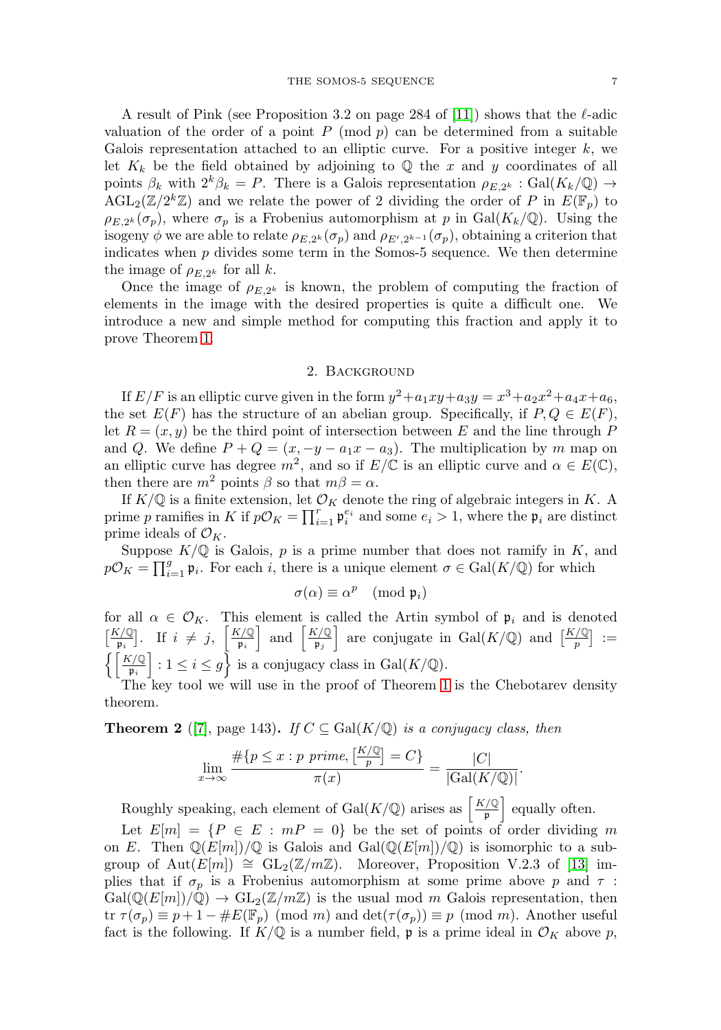A result of Pink (see Proposition 3.2 on page 284 of [\[11\]](#page-14-8)) shows that the  $\ell$ -adic valuation of the order of a point  $P \pmod{p}$  can be determined from a suitable Galois representation attached to an elliptic curve. For a positive integer  $k$ , we let  $K_k$  be the field obtained by adjoining to  $\mathbb Q$  the x and y coordinates of all points  $\beta_k$  with  $2^k \beta_k = P$ . There is a Galois representation  $\rho_{E,2^k} : \text{Gal}(K_k/\mathbb{Q}) \to$  $\text{AGL}_2(\mathbb{Z}/2^k\mathbb{Z})$  and we relate the power of 2 dividing the order of P in  $E(\mathbb{F}_p)$  to  $\rho_{E,2^k}(\sigma_p)$ , where  $\sigma_p$  is a Frobenius automorphism at p in Gal( $K_k/\mathbb{Q}$ ). Using the isogeny  $\phi$  we are able to relate  $\rho_{E,2^k}(\sigma_p)$  and  $\rho_{E',2^{k-1}}(\sigma_p)$ , obtaining a criterion that indicates when  $p$  divides some term in the Somos-5 sequence. We then determine the image of  $\rho_{E,2^k}$  for all k.

Once the image of  $\rho_{E,2^k}$  is known, the problem of computing the fraction of elements in the image with the desired properties is quite a difficult one. We introduce a new and simple method for computing this fraction and apply it to prove Theorem [1.](#page-1-0)

### 2. Background

If  $E/F$  is an elliptic curve given in the form  $y^2 + a_1xy + a_3y = x^3 + a_2x^2 + a_4x + a_6$ , the set  $E(F)$  has the structure of an abelian group. Specifically, if  $P, Q \in E(F)$ , let  $R = (x, y)$  be the third point of intersection between E and the line through P and Q. We define  $P + Q = (x, -y - a_1x - a_3)$ . The multiplication by m map on an elliptic curve has degree  $m^2$ , and so if  $E/\mathbb{C}$  is an elliptic curve and  $\alpha \in E(\mathbb{C})$ , then there are  $m^2$  points  $\beta$  so that  $m\beta = \alpha$ .

If  $K/\mathbb{Q}$  is a finite extension, let  $\mathcal{O}_K$  denote the ring of algebraic integers in K. A prime p ramifies in K if  $p\mathcal{O}_K = \prod_{i=1}^r \mathfrak{p}_i^{e_i}$  and some  $e_i > 1$ , where the  $\mathfrak{p}_i$  are distinct prime ideals of  $\mathcal{O}_K$ .

Suppose  $K/\mathbb{Q}$  is Galois, p is a prime number that does not ramify in K, and  $p\mathcal{O}_K = \prod_{i=1}^g \mathfrak{p}_i$ . For each i, there is a unique element  $\sigma \in \text{Gal}(K/\mathbb{Q})$  for which

$$
\sigma(\alpha) \equiv \alpha^p \pmod{\mathfrak{p}_i}
$$

for all  $\alpha \in \mathcal{O}_K$ . This element is called the Artin symbol of  $\mathfrak{p}_i$  and is denoted  $\left[\frac{K/\mathbb{Q}}{\mathfrak{p}_i}\right]$ . If  $i \neq j$ ,  $\left[\frac{K/\mathbb{Q}}{\mathfrak{p}_i}\right]$  $\left[\frac{K/\mathbb{Q}}{\mathfrak{p}_i}\right]$  and  $\left[\frac{K/\mathbb{Q}}{\mathfrak{p}_j}\right]$  $\frac{\zeta\sqrt{Q}}{\mathfrak{p}_j}$  are conjugate in Gal $(K/\mathbb{Q})$  and  $\left[\frac{K/\mathbb{Q}}{p}\right] :=$  $\left\{ \left\lceil \frac{K/\mathbb{Q}}{\mathfrak{p}_i} \right\rceil : 1 \leq i \leq g \right\}$  is a conjugacy class in  $Gal(K/\mathbb{Q})$ .

The key tool we will use in the proof of Theorem [1](#page-1-0) is the Chebotarev density theorem.

**Theorem 2** ([\[7\]](#page-14-9), page 143). If  $C \subseteq \text{Gal}(K/\mathbb{Q})$  is a conjugacy class, then

$$
\lim_{x \to \infty} \frac{\#\{p \le x : p \text{ prime}, \left[\frac{K/\mathbb{Q}}{p}\right] = C\}}{\pi(x)} = \frac{|C|}{|\text{Gal}(K/\mathbb{Q})|}
$$

.

Roughly speaking, each element of Gal( $K/\mathbb{Q}$ ) arises as  $\frac{K/\mathbb{Q}}{n}$  $\left[\frac{1}{\varphi}\right]$  equally often.

Let  $E[m] = \{P \in E : mP = 0\}$  be the set of points of order dividing m on E. Then  $\mathbb{Q}(E[m])/\mathbb{Q}$  is Galois and  $Gal(\mathbb{Q}(E[m])/\mathbb{Q})$  is isomorphic to a subgroup of Aut $(E[m]) \cong GL_2(\mathbb{Z}/m\mathbb{Z})$ . Moreover, Proposition V.2.3 of [\[13\]](#page-15-1) implies that if  $\sigma_p$  is a Frobenius automorphism at some prime above p and  $\tau$ :  $Gal(\mathbb{Q}(E[m])/\mathbb{Q}) \to GL_2(\mathbb{Z}/m\mathbb{Z})$  is the usual mod m Galois representation, then tr  $\tau(\sigma_p) \equiv p + 1 - \#E(\mathbb{F}_p) \pmod{m}$  and  $\det(\tau(\sigma_p)) \equiv p \pmod{m}$ . Another useful fact is the following. If  $K/\mathbb{Q}$  is a number field, p is a prime ideal in  $\mathcal{O}_K$  above p,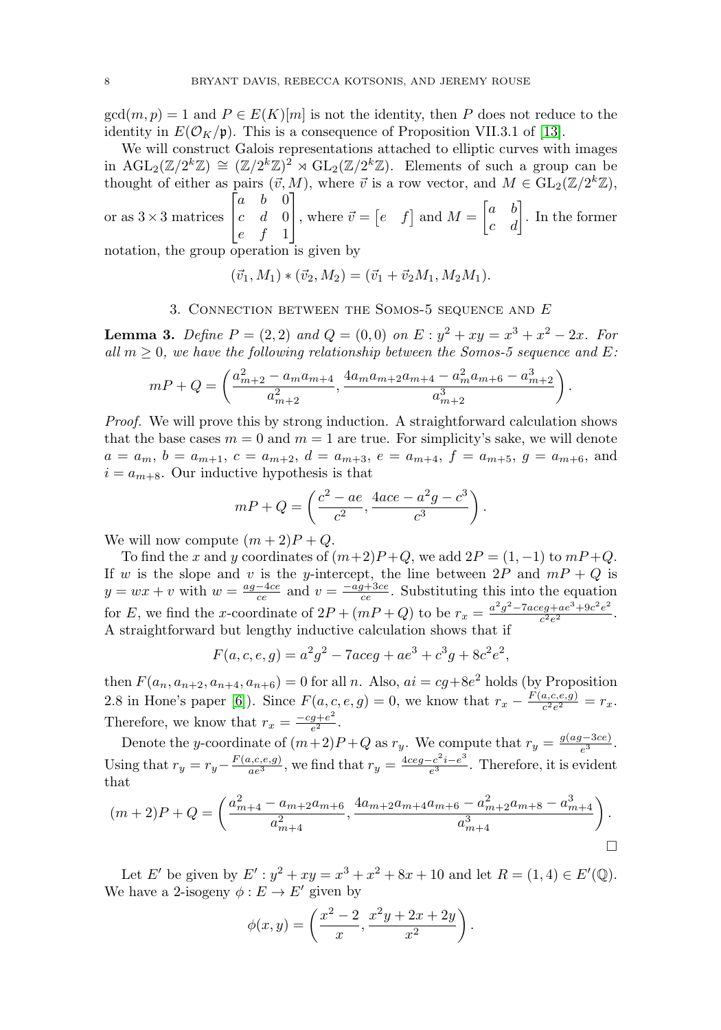$gcd(m, p) = 1$  and  $P \in E(K)[m]$  is not the identity, then P does not reduce to the identity in  $E(\mathcal{O}_K/\mathfrak{p})$ . This is a consequence of Proposition VII.3.1 of [\[13\]](#page-15-1).

We will construct Galois representations attached to elliptic curves with images in  $\text{AGL}_2(\mathbb{Z}/2^k\mathbb{Z}) \cong (\mathbb{Z}/2^k\mathbb{Z})^2 \rtimes \text{GL}_2(\mathbb{Z}/2^k\mathbb{Z})$ . Elements of such a group can be thought of either as pairs  $(\vec{v}, M)$ , where  $\vec{v}$  is a row vector, and  $M \in GL_2(\mathbb{Z}/2^k \mathbb{Z})$ ,  $\lceil$  $a \quad b \quad 0$ ⎤

or as  $3 \times 3$  matrices  $\overline{\phantom{a}}$  $c \quad d \quad 0$ e f 1 where  $\vec{v} = \begin{bmatrix} e & f \end{bmatrix}$  and  $M = \begin{bmatrix} a & b \\ c & d \end{bmatrix}$ . In the former

notation, the group operation is given by

$$
(\vec{v}_1, M_1) * (\vec{v}_2, M_2) = (\vec{v}_1 + \vec{v}_2 M_1, M_2 M_1).
$$

# 3. CONNECTION BETWEEN THE SOMOS-5 SEQUENCE AND  $E$

<span id="page-3-0"></span>**Lemma 3.** Define  $P = (2, 2)$  and  $Q = (0, 0)$  on  $E : y^2 + xy = x^3 + x^2 - 2x$ . For all  $m \geq 0$ , we have the following relationship between the Somos-5 sequence and E:

$$
mP + Q = \left(\frac{a_{m+2}^2 - a_m a_{m+4}}{a_{m+2}^2}, \frac{4a_m a_{m+2} a_{m+4} - a_m^2 a_{m+6} - a_{m+2}^3}{a_{m+2}^3}\right).
$$

Proof. We will prove this by strong induction. A straightforward calculation shows that the base cases  $m = 0$  and  $m = 1$  are true. For simplicity's sake, we will denote  $a = a_m$ ,  $b = a_{m+1}$ ,  $c = a_{m+2}$ ,  $d = a_{m+3}$ ,  $e = a_{m+4}$ ,  $f = a_{m+5}$ ,  $g = a_{m+6}$ , and  $i = a_{m+8}$ . Our inductive hypothesis is that

$$
mP + Q = \left(\frac{c^2 - ae}{c^2}, \frac{4ace - a^2g - c^3}{c^3}\right).
$$

We will now compute  $(m+2)P+Q$ .

To find the x and y coordinates of  $(m+2)P+Q$ , we add  $2P = (1, -1)$  to  $mP+Q$ . If w is the slope and v is the y-intercept, the line between  $2P$  and  $mP + Q$  is  $y = wx + v$  with  $w = \frac{ag - 4ce}{ce}$  and  $v = \frac{-ag + 3ce}{ce}$ . Substituting this into the equation for E, we find the x-coordinate of  $2P + (mP + Q)$  to be  $r_x = \frac{a^2g^2 - 7aceg + ae^3 + 9c^2e^2}{c^2e^2}$ . A straightforward but lengthy inductive calculation shows that if

$$
F(a, c, e, g) = a^2 g^2 - 7aceg + ae^3 + c^3 g + 8c^2 e^2,
$$

then  $F(a_n, a_{n+2}, a_{n+4}, a_{n+6}) = 0$  for all n. Also,  $ai = cg+8e^2$  holds (by Proposition 2.8 in Hone's paper [\[6\]](#page-14-6)). Since  $F(a, c, e, g) = 0$ , we know that  $r_x - \frac{F(a, c, e, g)}{c^2 e^2} = r_x$ . Therefore, we know that  $r_x = \frac{-cg + e^2}{e^2}$ .

Denote the y-coordinate of  $(m+2)P+Q$  as  $r_y$ . We compute that  $r_y = \frac{g(ag-3ce)}{e^3}$ . Using that  $r_y = r_y - \frac{F(a,c,e,g)}{ae^3}$ , we find that  $r_y = \frac{4ceg-c^2i-e^3}{e^3}$ . Therefore, it is evident that

$$
(m+2)P + Q = \left(\frac{a_{m+4}^2 - a_{m+2}a_{m+6}}{a_{m+4}^2}, \frac{4a_{m+2}a_{m+4}a_{m+6} - a_{m+2}^2a_{m+8} - a_{m+4}^3}{a_{m+4}^3}\right).
$$

Let E' be given by  $E' : y^2 + xy = x^3 + x^2 + 8x + 10$  and let  $R = (1, 4) \in E'(\mathbb{Q})$ . We have a 2-isogeny  $\phi : E \to E'$  given by

$$
\phi(x,y) = \left(\frac{x^2 - 2}{x}, \frac{x^2y + 2x + 2y}{x^2}\right).
$$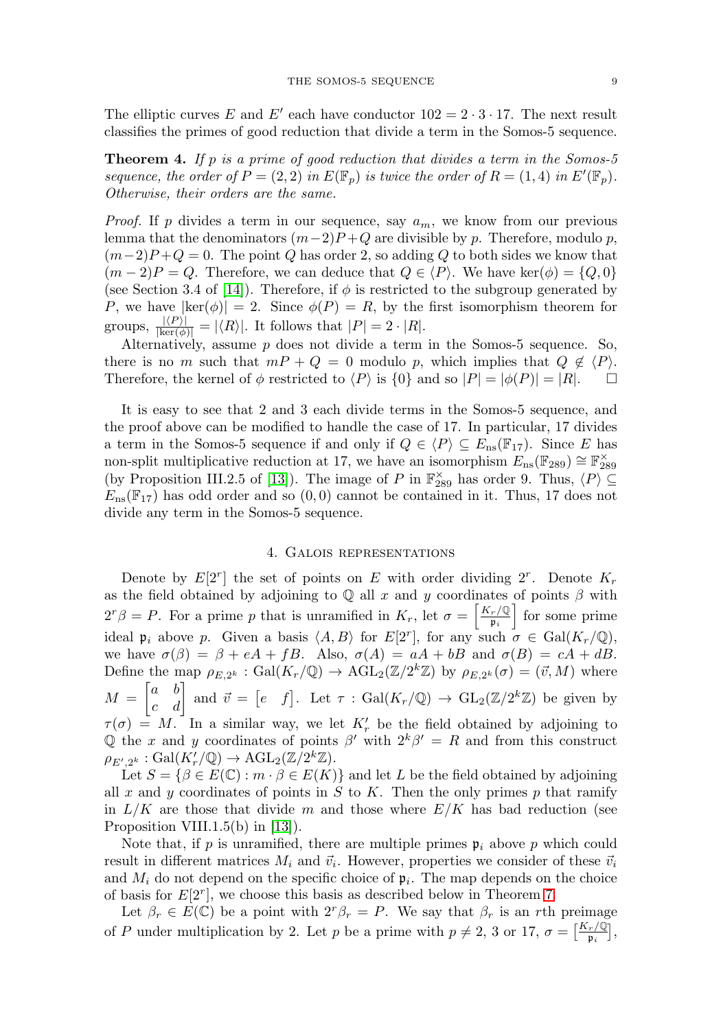The elliptic curves E and E' each have conductor  $102 = 2 \cdot 3 \cdot 17$ . The next result classifies the primes of good reduction that divide a term in the Somos-5 sequence.

<span id="page-4-0"></span>**Theorem 4.** If p is a prime of good reduction that divides a term in the Somos-5 sequence, the order of  $P = (2, 2)$  in  $E(\mathbb{F}_p)$  is twice the order of  $R = (1, 4)$  in  $E'(\mathbb{F}_p)$ . Otherwise, their orders are the same.

*Proof.* If p divides a term in our sequence, say  $a_m$ , we know from our previous lemma that the denominators  $(m-2)P+Q$  are divisible by p. Therefore, modulo p,  $(m-2)P+Q=0$ . The point Q has order 2, so adding Q to both sides we know that  $(m-2)P = Q$ . Therefore, we can deduce that  $Q \in \langle P \rangle$ . We have ker $(\phi) = \{Q, 0\}$ (see Section 3.4 of [\[14\]](#page-15-2)). Therefore, if  $\phi$  is restricted to the subgroup generated by P, we have  $|\text{ker}(\phi)| = 2$ . Since  $\phi(P) = R$ , by the first isomorphism theorem for groups,  $\frac{|\langle P \rangle|}{|\text{ker}(\phi)|} = |\langle R \rangle|$ . It follows that  $|P| = 2 \cdot |R|$ .

Alternatively, assume  $p$  does not divide a term in the Somos-5 sequence. So, there is no m such that  $m + Q = 0$  modulo p, which implies that  $Q \notin \langle P \rangle$ . Therefore, the kernel of  $\phi$  restricted to  $\langle P \rangle$  is  $\{0\}$  and so  $|P| = |\phi(P)| = |R|$ .  $\Box$ 

It is easy to see that 2 and 3 each divide terms in the Somos-5 sequence, and the proof above can be modified to handle the case of 17. In particular, 17 divides a term in the Somos-5 sequence if and only if  $Q \in \langle P \rangle \subseteq E_{\text{ns}}(\mathbb{F}_{17})$ . Since E has non-split multiplicative reduction at 17, we have an isomorphism  $E_{\text{ns}}(\mathbb{F}_{289}) \cong \mathbb{F}_{289}^{\times}$ (by Proposition III.2.5 of [\[13\]](#page-15-1)). The image of P in  $\mathbb{F}_{289}^{\times}$  has order 9. Thus,  $\langle P \rangle \subseteq$  $E_{\text{ns}}(\mathbb{F}_{17})$  has odd order and so  $(0,0)$  cannot be contained in it. Thus, 17 does not divide any term in the Somos-5 sequence.

### 4. Galois representations

Denote by  $E[2^r]$  the set of points on E with order dividing  $2^r$ . Denote  $K_r$ as the field obtained by adjoining to  $\mathbb Q$  all x and y coordinates of points  $\beta$  with  $2^{r} \beta = P$ . For a prime p that is unramified in  $K_{r}$ , let  $\sigma = \begin{bmatrix} \frac{K_{r} \sqrt{Q}}{R_{r}} \end{bmatrix}$  $\left[\frac{r}{\mathfrak{p}_i}\right]$  for some prime ideal  $\mathfrak{p}_i$  above p. Given a basis  $\langle A, B \rangle$  for  $E[2^r]$ , for any such  $\sigma \in \text{Gal}(K_r/\mathbb{Q})$ , we have  $\sigma(\beta) = \beta + eA + fB$ . Also,  $\sigma(A) = aA + bB$  and  $\sigma(B) = cA + dB$ . Define the map  $\rho_{E,2^k} : \text{Gal}(K_r/\mathbb{Q}) \to \text{AGL}_2(\mathbb{Z}/2^k\mathbb{Z})$  by  $\rho_{E,2^k}(\sigma) = (\vec{v},M)$  where  $M = \begin{bmatrix} a & b \\ c & d \end{bmatrix}$  and  $\vec{v} = \begin{bmatrix} e & f \end{bmatrix}$ . Let  $\tau : \text{Gal}(K_r/\mathbb{Q}) \to \text{GL}_2(\mathbb{Z}/2^k\mathbb{Z})$  be given by  $\tau(\sigma) = M$ . In a similar way, we let  $K'_r$  be the field obtained by adjoining to Q the x and y coordinates of points  $\beta'$  with  $2^k\beta' = R$  and from this construct  $\rho_{E',2^k}: \operatorname{Gal}(K'_r/{\mathbb Q}) \to \operatorname{AGL}_2({\mathbb Z}/2^k{\mathbb Z}).$ 

Let  $S = \{ \beta \in E(\mathbb{C}) : m \cdot \beta \in E(K) \}$  and let L be the field obtained by adjoining all x and y coordinates of points in  $S$  to  $K$ . Then the only primes p that ramify in  $L/K$  are those that divide m and those where  $E/K$  has bad reduction (see Proposition VIII.1.5(b) in [\[13\]](#page-15-1)).

Note that, if p is unramified, there are multiple primes  $\mathfrak{p}_i$  above p which could result in different matrices  $M_i$  and  $\vec{v}_i$ . However, properties we consider of these  $\vec{v}_i$ and  $M_i$  do not depend on the specific choice of  $\mathfrak{p}_i$ . The map depends on the choice of basis for  $E[2^r]$ , we choose this basis as described below in Theorem [7.](#page-5-0)

Let  $\beta_r \in E(\mathbb{C})$  be a point with  $2^r \beta_r = P$ . We say that  $\beta_r$  is an rth preimage of P under multiplication by 2. Let p be a prime with  $p \neq 2$ , 3 or 17,  $\sigma = \left[\frac{K_r}{\mathfrak{p}_i}\right]$ ,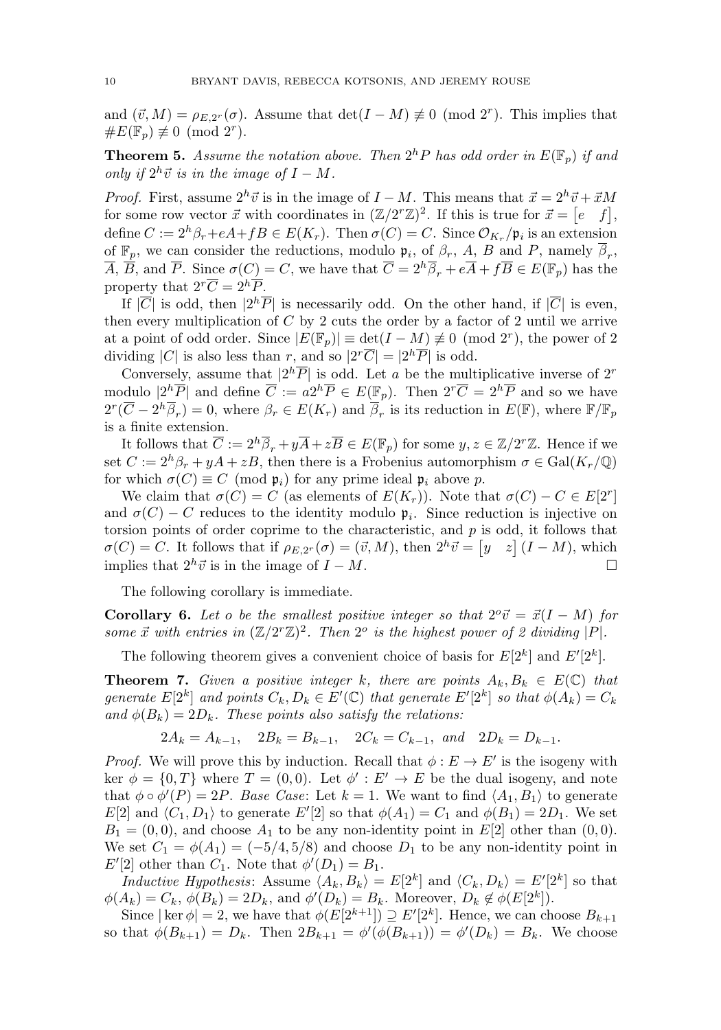and  $(\vec{v}, M) = \rho_{E, 2^r}(\sigma)$ . Assume that  $\det(I - M) \neq 0 \pmod{2^r}$ . This implies that  $\#E(\mathbb{F}_n) \not\equiv 0 \pmod{2^r}$ .

**Theorem 5.** Assume the notation above. Then  $2^h P$  has odd order in  $E(\mathbb{F}_p)$  if and only if  $2^h\vec{v}$  is in the image of  $I - M$ .

*Proof.* First, assume  $2^h \vec{v}$  is in the image of  $I - M$ . This means that  $\vec{x} = 2^h \vec{v} + \vec{x}M$ for some row vector  $\vec{x}$  with coordinates in  $(\mathbb{Z}/2^r\mathbb{Z})^2$ . If this is true for  $\vec{x} = \begin{bmatrix} e & f \end{bmatrix}$ , define  $C := 2^h \beta_r + eA + fB \in E(K_r)$ . Then  $\sigma(C) = C$ . Since  $\mathcal{O}_{K_r}/\mathfrak{p}_i$  is an extension of  $\mathbb{F}_p$ , we can consider the reductions, modulo  $\mathfrak{p}_i$ , of  $\beta_r$ , A, B and P, namely  $\overline{\beta}_r$ ,  $\overline{A}$ ,  $\overline{B}$ , and  $\overline{P}$ . Since  $\sigma(C) = C$ , we have that  $\overline{C} = 2^h \overline{\beta}_r + e\overline{A} + f\overline{B} \in E(\mathbb{F}_p)$  has the property that  $2^r\overline{C} = 2^h\overline{P}$ .

If  $|\overline{C}|$  is odd, then  $|2^h\overline{P}|$  is necessarily odd. On the other hand, if  $|\overline{C}|$  is even, then every multiplication of  $C$  by 2 cuts the order by a factor of 2 until we arrive at a point of odd order. Since  $|E(\mathbb{F}_p)| \equiv \det(I-M) \neq 0 \pmod{2^r}$ , the power of 2 dividing |C| is also less than r, and so  $|2^r\overline{C}| = |2^h\overline{P}|$  is odd.

Conversely, assume that  $|2^h\overline{P}|$  is odd. Let a be the multiplicative inverse of  $2^r$ modulo  $|2^h\overline{P}|$  and define  $\overline{C} := a2^h\overline{P} \in E(\mathbb{F}_p)$ . Then  $2^r\overline{C} = 2^h\overline{P}$  and so we have  $2^r(\overline{C} - 2^h\overline{\beta}_r) = 0$ , where  $\beta_r \in E(K_r)$  and  $\overline{\beta}_r$  is its reduction in  $E(\mathbb{F})$ , where  $\mathbb{F}/\mathbb{F}_p$ is a finite extension.

It follows that  $\overline{C} := 2^h \overline{\beta}_r + y \overline{A} + z \overline{B} \in E(\mathbb{F}_p)$  for some  $y, z \in \mathbb{Z}/2^r\mathbb{Z}$ . Hence if we set  $C := 2^h \beta_r + yA + zB$ , then there is a Frobenius automorphism  $\sigma \in \text{Gal}(K_r/\mathbb{Q})$ for which  $\sigma(C) \equiv C \pmod{\mathfrak{p}_i}$  for any prime ideal  $\mathfrak{p}_i$  above p.

We claim that  $\sigma(C) = C$  (as elements of  $E(K_r)$ ). Note that  $\sigma(C) - C \in E[2^r]$ and  $\sigma(C) - C$  reduces to the identity modulo  $\mathfrak{p}_i$ . Since reduction is injective on torsion points of order coprime to the characteristic, and  $p$  is odd, it follows that  $\sigma(C) = C$ . It follows that if  $\rho_{E,2^r}(\sigma) = (\vec{v},M)$ , then  $2^h\vec{v} = [y \ z] (I - M)$ , which implies that  $2^h \vec{v}$  is in the image of  $I - M$ .  $\Box$ 

The following corollary is immediate.

**Corollary 6.** Let o be the smallest positive integer so that  $2^{\circ} \vec{v} = \vec{x}(I - M)$  for some  $\vec{x}$  with entries in  $(\mathbb{Z}/2^{r}\mathbb{Z})^{2}$ . Then  $2^{o}$  is the highest power of 2 dividing  $|P|$ .

The following theorem gives a convenient choice of basis for  $E[2^k]$  and  $E'[2^k]$ .

<span id="page-5-0"></span>**Theorem 7.** Given a positive integer k, there are points  $A_k, B_k \in E(\mathbb{C})$  that generate  $E[2^k]$  and points  $C_k, D_k \in E'(\mathbb{C})$  that generate  $E'[2^k]$  so that  $\phi(A_k) = C_k$ and  $\phi(B_k)=2D_k$ . These points also satisfy the relations:

$$
2A_k = A_{k-1}
$$
,  $2B_k = B_{k-1}$ ,  $2C_k = C_{k-1}$ , and  $2D_k = D_{k-1}$ .

*Proof.* We will prove this by induction. Recall that  $\phi : E \to E'$  is the isogeny with ker  $\phi = \{0, T\}$  where  $T = (0, 0)$ . Let  $\phi' : E' \to E$  be the dual isogeny, and note that  $\phi \circ \phi'(P) = 2P$ . Base Case: Let  $k = 1$ . We want to find  $\langle A_1, B_1 \rangle$  to generate  $E[2]$  and  $\langle C_1, D_1 \rangle$  to generate  $E'[2]$  so that  $\phi(A_1) = C_1$  and  $\phi(B_1) = 2D_1$ . We set  $B_1 = (0,0)$ , and choose  $A_1$  to be any non-identity point in  $E[2]$  other than  $(0,0)$ . We set  $C_1 = \phi(A_1) = (-5/4, 5/8)$  and choose  $D_1$  to be any non-identity point in  $E'[2]$  other than  $C_1$ . Note that  $\phi'(D_1) = B_1$ .

Inductive Hypothesis: Assume  $\langle A_k, B_k \rangle = E[2^k]$  and  $\langle C_k, D_k \rangle = E'[2^k]$  so that  $\phi(A_k) = C_k$ ,  $\phi(B_k) = 2D_k$ , and  $\phi'(D_k) = B_k$ . Moreover,  $D_k \notin \phi(E[2^k])$ .

Since  $|\ker \phi| = 2$ , we have that  $\phi(E[2^{k+1}]) \supseteq E'[2^k]$ . Hence, we can choose  $B_{k+1}$ so that  $\phi(B_{k+1}) = D_k$ . Then  $2B_{k+1} = \phi'(\phi(B_{k+1})) = \phi'(D_k) = B_k$ . We choose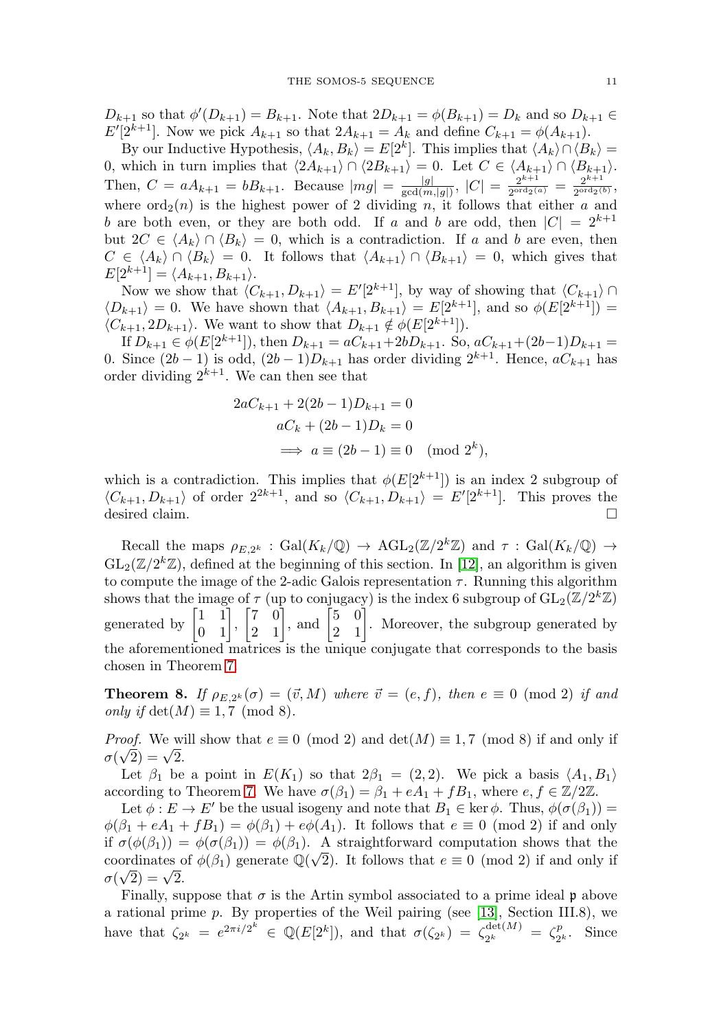$D_{k+1}$  so that  $\phi'(D_{k+1}) = B_{k+1}$ . Note that  $2D_{k+1} = \phi(B_{k+1}) = D_k$  and so  $D_{k+1} \in$  $E'[2^{k+1}]$ . Now we pick  $A_{k+1}$  so that  $2A_{k+1} = A_k$  and define  $C_{k+1} = \phi(A_{k+1})$ .

By our Inductive Hypothesis,  $\langle A_k, B_k \rangle = E[2^k]$ . This implies that  $\langle A_k \rangle \cap \langle B_k \rangle =$ 0, which in turn implies that  $\langle 2A_{k+1} \rangle \cap \langle 2B_{k+1} \rangle = 0$ . Let  $C \in \langle A_{k+1} \rangle \cap \langle B_{k+1} \rangle$ . Then,  $C = aA_{k+1} = bB_{k+1}$ . Because  $|mg| = \frac{|g|}{\gcd(m, |g|)}$ ,  $|C| = \frac{2^{k+1}}{2^{\text{ord}_2(a)}} = \frac{2^{k+1}}{2^{\text{ord}_2(b)}}$ , where  $\text{ord}_2(n)$  is the highest power of 2 dividing n, it follows that either a and b are both even, or they are both odd. If a and b are odd, then  $|C| = 2^{k+1}$ but  $2C \in \langle A_k \rangle \cap \langle B_k \rangle = 0$ , which is a contradiction. If a and b are even, then  $C \in \langle A_k \rangle \cap \langle B_k \rangle = 0$ . It follows that  $\langle A_{k+1} \rangle \cap \langle B_{k+1} \rangle = 0$ , which gives that  $E[2^{k+1}] = \langle A_{k+1}, B_{k+1} \rangle.$ 

Now we show that  $\langle C_{k+1}, D_{k+1} \rangle = E'[2^{k+1}]$ , by way of showing that  $\langle C_{k+1} \rangle \cap$  $\langle D_{k+1} \rangle = 0$ . We have shown that  $\langle A_{k+1}, B_{k+1} \rangle = E[2^{k+1}]$ , and so  $\phi(E[2^{k+1}]) =$  $\langle C_{k+1}, 2D_{k+1} \rangle$ . We want to show that  $D_{k+1} \notin \phi(E[2^{k+1}]).$ 

If  $D_{k+1} \in \phi(E[2^{k+1}])$ , then  $D_{k+1} = aC_{k+1} + 2bD_{k+1}$ . So,  $aC_{k+1} + (2b-1)D_{k+1} =$ 0. Since  $(2b-1)$  is odd,  $(2b-1)D_{k+1}$  has order dividing  $2^{k+1}$ . Hence,  $aC_{k+1}$  has order dividing  $2^{k+1}$ . We can then see that

$$
2aC_{k+1} + 2(2b - 1)D_{k+1} = 0
$$

$$
aC_k + (2b - 1)D_k = 0
$$

$$
\implies a \equiv (2b - 1) \equiv 0 \pmod{2^k},
$$

which is a contradiction. This implies that  $\phi(E[2^{k+1}])$  is an index 2 subgroup of  $\langle C_{k+1}, D_{k+1} \rangle$  of order  $2^{2k+1}$ , and so  $\langle C_{k+1}, D_{k+1} \rangle = E'[2^{k+1}]$ . This proves the desired claim.  $\Box$ 

Recall the maps  $\rho_{E,2^k}$  : Gal $(K_k/\mathbb{Q}) \to \text{AGL}_2(\mathbb{Z}/2^k\mathbb{Z})$  and  $\tau$  : Gal $(K_k/\mathbb{Q}) \to$  $GL_2(\mathbb{Z}/2^k\mathbb{Z})$ , defined at the beginning of this section. In [\[12\]](#page-15-3), an algorithm is given to compute the image of the 2-adic Galois representation  $\tau$ . Running this algorithm shows that the image of  $\tau$  (up to conjugacy) is the index 6 subgroup of  $GL_2(\mathbb{Z}/2^k\mathbb{Z})$ generated by  $\begin{bmatrix} 1 \\ 0 \end{bmatrix}$ 1 1  $\begin{bmatrix} 1 & 1 \\ 0 & 1 \end{bmatrix}$  $\vert 7 \vert$  $\begin{bmatrix} 7 & 0 \\ 2 & 1 \end{bmatrix}$ , and  $\begin{bmatrix} 7 & 0 \\ 0 & 1 \end{bmatrix}$  $\begin{bmatrix} 5 & 0 \\ 2 & 1 \end{bmatrix}$ . Moreover, the subgroup generated by the aforementioned matrices is the unique conjugate that corresponds to the basis chosen in Theorem [7.](#page-5-0)

<span id="page-6-0"></span>**Theorem 8.** If  $\rho_{E,2^k}(\sigma) = (\vec{v},M)$  where  $\vec{v} = (e,f)$ , then  $e \equiv 0 \pmod{2}$  if and only if  $\det(M) \equiv 1, 7 \pmod{8}$ .

*Proof.* We will show that  $e \equiv 0 \pmod{2}$  and  $\det(M) \equiv 1, 7 \pmod{8}$  if and only if *rrooj.* we wild<br>  $\sigma(\sqrt{2}) = \sqrt{2}$ .

Let  $\beta_1$  be a point in  $E(K_1)$  so that  $2\beta_1 = (2, 2)$ . We pick a basis  $\langle A_1, B_1 \rangle$ according to Theorem [7.](#page-5-0) We have  $\sigma(\beta_1) = \beta_1 + eA_1 + fB_1$ , where  $e, f \in \mathbb{Z}/2\mathbb{Z}$ .

Let  $\phi : E \to E'$  be the usual isogeny and note that  $B_1 \in \text{ker } \phi$ . Thus,  $\phi(\sigma(\beta_1)) =$  $\phi(\beta_1 + eA_1 + fB_1) = \phi(\beta_1) + e\phi(A_1)$ . It follows that  $e \equiv 0 \pmod{2}$  if and only if  $\sigma(\phi(\beta_1)) = \phi(\sigma(\beta_1)) = \phi(\beta_1)$ . A straightforward computation shows that the if  $\sigma(\varphi(\beta_1)) = \varphi(\sigma(\beta_1)) = \varphi(\beta_1)$ . A straightforward computation shows that the coordinates of  $\phi(\beta_1)$  generate  $\mathbb{Q}(\sqrt{2})$ . It follows that  $e \equiv 0 \pmod{2}$  if and only if coordinates density

Finally, suppose that  $\sigma$  is the Artin symbol associated to a prime ideal p above a rational prime p. By properties of the Weil pairing (see [\[13\]](#page-15-1), Section III.8), we have that  $\zeta_{2^k} = e^{2\pi i/2^k} \in \mathbb{Q}(E[2^k])$ , and that  $\sigma(\zeta_{2^k}) = \zeta_{2^k}^{\text{det}(M)} = \zeta_{2^k}^p$ . Since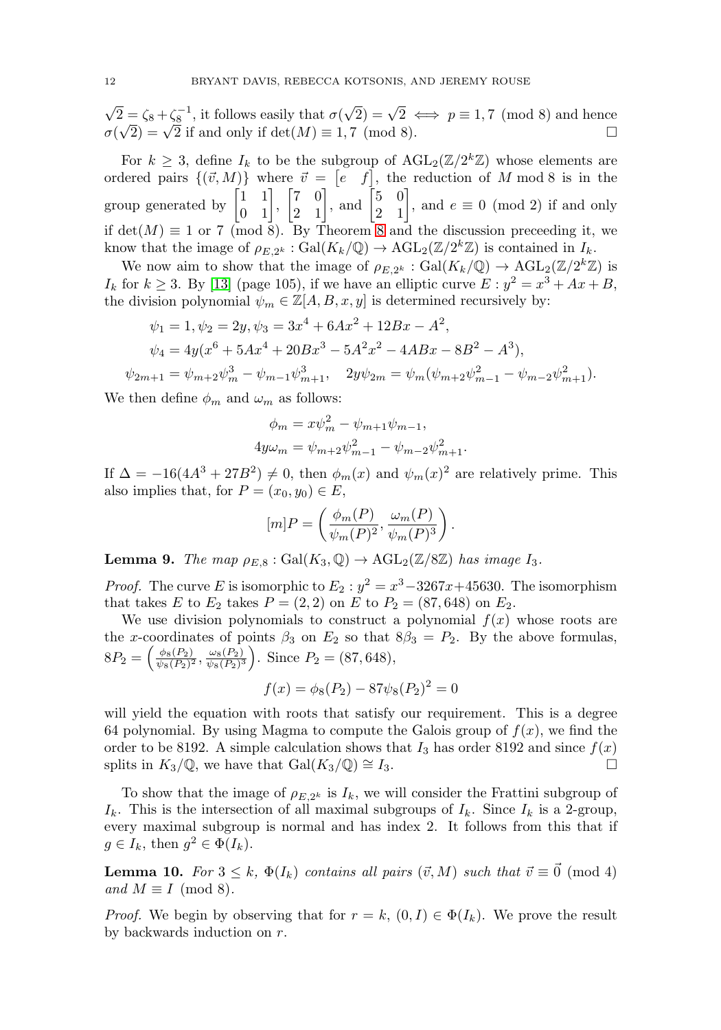$\sqrt{2} = \zeta_8 + \zeta_8^{-1}$ , it follows easily that  $\sigma(\sqrt{2}) = \sqrt{2} \iff p \equiv 1, 7 \pmod{8}$  and hence  $\sigma(\sqrt{2}) = \sqrt{2}$  if and only if  $\det(M) \equiv 1, 7 \pmod{8}$ .  $\sigma(\sqrt{2}) = \sqrt{2}$  if and only if  $\det(M) \equiv 1,7 \pmod{8}$ .

For  $k \geq 3$ , define  $I_k$  to be the subgroup of  $\text{AGL}_2(\mathbb{Z}/2^k\mathbb{Z})$  whose elements are ordered pairs  $\{(\vec{v},M)\}\$  where  $\vec{v} = [e \quad f]$ , the reduction of M mod 8 is in the group generated by  $\begin{bmatrix} 1 & 1 \\ 0 & 1 \end{bmatrix}$ ,  $\begin{bmatrix} 7 & 0 \\ 2 & 1 \end{bmatrix}$ , and  $\begin{bmatrix} 5 & 0 \\ 2 & 1 \end{bmatrix}$ , and  $e \equiv 0 \pmod{2}$  if and only if  $\det(M) \equiv 1$  or 7 (mod [8](#page-6-0)). By Theorem 8 and the discussion preceeding it, we know that the image of  $\rho_{E,2^k} : \text{Gal}(K_k/\mathbb{Q}) \to \text{AGL}_2(\mathbb{Z}/2^k\mathbb{Z})$  is contained in  $I_k$ .

We now aim to show that the image of  $\rho_{E,2^k} : \text{Gal}(K_k/\mathbb{Q}) \to \text{AGL}_2(\mathbb{Z}/2^k\mathbb{Z})$  is  $I_k$  for  $k \geq 3$ . By [\[13\]](#page-15-1) (page 105), if we have an elliptic curve  $E: y^2 = x^3 + Ax + B$ , the division polynomial  $\psi_m \in \mathbb{Z}[A, B, x, y]$  is determined recursively by:

$$
\psi_1 = 1, \psi_2 = 2y, \psi_3 = 3x^4 + 6Ax^2 + 12Bx - A^2,
$$
  
\n
$$
\psi_4 = 4y(x^6 + 5Ax^4 + 20Bx^3 - 5A^2x^2 - 4ABx - 8B^2 - A^3),
$$
  
\n
$$
\psi_{2m+1} = \psi_{m+2}\psi_m^3 - \psi_{m-1}\psi_{m+1}^3, \quad 2y\psi_{2m} = \psi_m(\psi_{m+2}\psi_{m-1}^2 - \psi_{m-2}\psi_{m+1}^2).
$$

We then define  $\phi_m$  and  $\omega_m$  as follows:

$$
\phi_m = x\psi_m^2 - \psi_{m+1}\psi_{m-1},
$$
  
\n
$$
4y\omega_m = \psi_{m+2}\psi_{m-1}^2 - \psi_{m-2}\psi_{m+1}^2.
$$

If  $\Delta = -16(4A^3 + 27B^2) \neq 0$ , then  $\phi_m(x)$  and  $\psi_m(x)^2$  are relatively prime. This also implies that, for  $P = (x_0, y_0) \in E$ ,

$$
[m]P = \left(\frac{\phi_m(P)}{\psi_m(P)^2}, \frac{\omega_m(P)}{\psi_m(P)^3}\right).
$$

<span id="page-7-1"></span>**Lemma 9.** The map  $\rho_{E,8}$ : Gal $(K_3, \mathbb{Q}) \to \text{AGL}_2(\mathbb{Z}/8\mathbb{Z})$  has image  $I_3$ .

*Proof.* The curve E is isomorphic to  $E_2$ :  $y^2 = x^3 - 3267x + 45630$ . The isomorphism that takes E to  $E_2$  takes  $P = (2, 2)$  on E to  $P_2 = (87, 648)$  on  $E_2$ .

We use division polynomials to construct a polynomial  $f(x)$  whose roots are the x-coordinates of points  $\beta_3$  on  $E_2$  so that  $8\beta_3 = P_2$ . By the above formulas,  $8P_2 = \left(\frac{\phi_8(P_2)}{\psi_8(P_2)^2}, \frac{\omega_8(P_2)}{\psi_8(P_2)^3}\right)$ . Since  $P_2 = (87, 648)$ ,

$$
f(x) = \phi_8(P_2) - 87\psi_8(P_2)^2 = 0
$$

will yield the equation with roots that satisfy our requirement. This is a degree 64 polynomial. By using Magma to compute the Galois group of  $f(x)$ , we find the order to be 8192. A simple calculation shows that  $I_3$  has order 8192 and since  $f(x)$ splits in  $K_3/\mathbb{Q}$ , we have that  $Gal(K_3/\mathbb{Q}) \cong I_3$ .  $\Box$ 

To show that the image of  $\rho_{E,2^k}$  is  $I_k$ , we will consider the Frattini subgroup of  $I_k$ . This is the intersection of all maximal subgroups of  $I_k$ . Since  $I_k$  is a 2-group, every maximal subgroup is normal and has index 2. It follows from this that if  $g \in I_k$ , then  $g^2 \in \Phi(I_k)$ .

<span id="page-7-0"></span>**Lemma 10.** For  $3 \leq k$ ,  $\Phi(I_k)$  contains all pairs  $(\vec{v}, M)$  such that  $\vec{v} \equiv \vec{0} \pmod{4}$ and  $M \equiv I \pmod{8}$ .

*Proof.* We begin by observing that for  $r = k$ ,  $(0, I) \in \Phi(I_k)$ . We prove the result by backwards induction on r.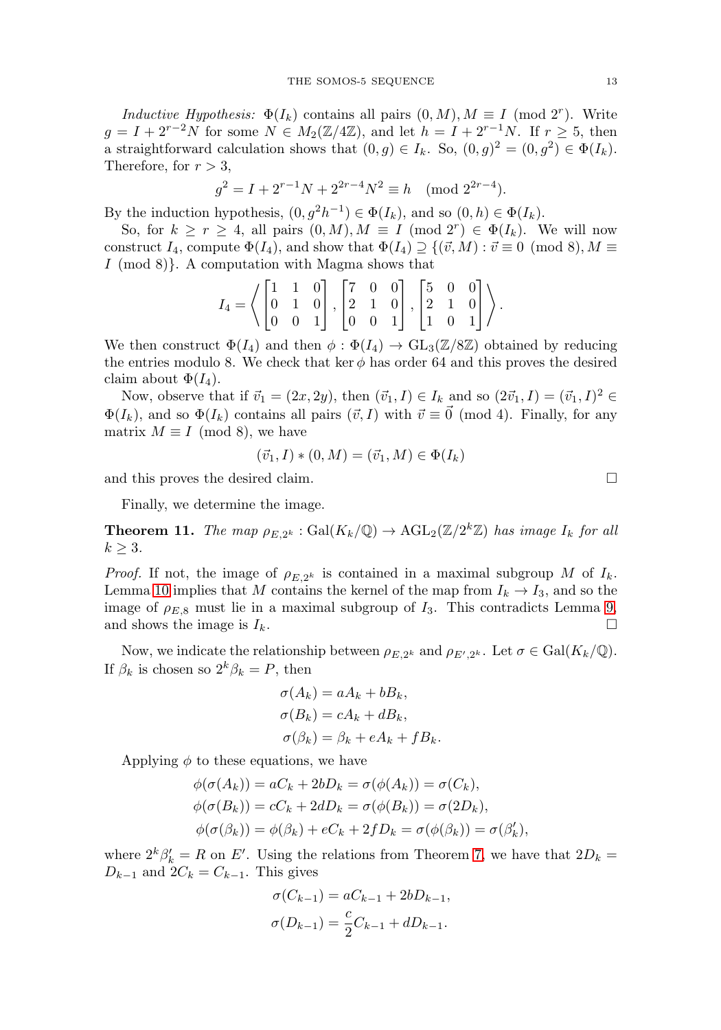Inductive Hypothesis:  $\Phi(I_k)$  contains all pairs  $(0, M), M \equiv I \pmod{2^r}$ . Write  $g = I + 2^{r-2}N$  for some  $N \in M_2(\mathbb{Z}/4\mathbb{Z})$ , and let  $h = I + 2^{r-1}N$ . If  $r \geq 5$ , then a straightforward calculation shows that  $(0, g) \in I_k$ . So,  $(0, g)^2 = (0, g^2) \in \Phi(I_k)$ . Therefore, for  $r > 3$ ,

$$
g^2 = I + 2^{r-1}N + 2^{2r-4}N^2 \equiv h \pmod{2^{2r-4}}.
$$

By the induction hypothesis,  $(0, g^2h^{-1}) \in \Phi(I_k)$ , and so  $(0, h) \in \Phi(I_k)$ .

So, for  $k \ge r \ge 4$ , all pairs  $(0, M), M \equiv I \pmod{2^r} \in \Phi(I_k)$ . We will now construct  $I_4$ , compute  $\Phi(I_4)$ , and show that  $\Phi(I_4) \supseteq \{(\vec{v}, M) : \vec{v} \equiv 0 \pmod{8}, M \equiv 0\}$ I (mod 8)}. A computation with Magma shows that

$$
I_4 = \left\langle \begin{bmatrix} 1 & 1 & 0 \\ 0 & 1 & 0 \\ 0 & 0 & 1 \end{bmatrix}, \begin{bmatrix} 7 & 0 & 0 \\ 2 & 1 & 0 \\ 0 & 0 & 1 \end{bmatrix}, \begin{bmatrix} 5 & 0 & 0 \\ 2 & 1 & 0 \\ 1 & 0 & 1 \end{bmatrix} \right\rangle.
$$

We then construct  $\Phi(I_4)$  and then  $\phi : \Phi(I_4) \to GL_3(\mathbb{Z}/8\mathbb{Z})$  obtained by reducing the entries modulo 8. We check that ker  $\phi$  has order 64 and this proves the desired claim about  $\Phi(I_4)$ .

Now, observe that if  $\vec{v}_1 = (2x, 2y)$ , then  $(\vec{v}_1, I) \in I_k$  and so  $(2\vec{v}_1, I) = (\vec{v}_1, I)^2 \in$  $\Phi(I_k)$ , and so  $\Phi(I_k)$  contains all pairs  $(\vec{v}, I)$  with  $\vec{v} \equiv \vec{0} \pmod{4}$ . Finally, for any matrix  $M \equiv I \pmod{8}$ , we have

$$
(\vec{v}_1, I) * (0, M) = (\vec{v}_1, M) \in \Phi(I_k)
$$

and this proves the desired claim.

Finally, we determine the image.

**Theorem 11.** The map  $\rho_{E,2^k}$ : Gal $(K_k/\mathbb{Q}) \to \text{AGL}_2(\mathbb{Z}/2^k\mathbb{Z})$  has image  $I_k$  for all  $k \geq 3$ .

*Proof.* If not, the image of  $\rho_{E,2^k}$  is contained in a maximal subgroup M of  $I_k$ . Lemma [10](#page-7-0) implies that M contains the kernel of the map from  $I_k \to I_3$ , and so the image of  $\rho_{E,8}$  must lie in a maximal subgroup of  $I_3$ . This contradicts Lemma [9,](#page-7-1) and shows the image is  $I_k$ .  $\Box$ 

Now, we indicate the relationship between  $\rho_{E,2^k}$  and  $\rho_{E',2^k}$ . Let  $\sigma \in \text{Gal}(K_k/\mathbb{Q})$ . If  $\beta_k$  is chosen so  $2^k \beta_k = P$ , then

$$
\sigma(A_k) = aA_k + bB_k,
$$
  
\n
$$
\sigma(B_k) = cA_k + dB_k,
$$
  
\n
$$
\sigma(\beta_k) = \beta_k + eA_k + fB_k.
$$

Applying  $\phi$  to these equations, we have

$$
\begin{aligned}\n\phi(\sigma(A_k)) &= aC_k + 2bD_k = \sigma(\phi(A_k)) = \sigma(C_k), \\
\phi(\sigma(B_k)) &= cC_k + 2dD_k = \sigma(\phi(B_k)) = \sigma(2D_k), \\
\phi(\sigma(\beta_k)) &= \phi(\beta_k) + eC_k + 2fD_k = \sigma(\phi(\beta_k)) = \sigma(\beta'_k),\n\end{aligned}
$$

where  $2^k \beta'_k = R$  on E'. Using the relations from Theorem [7,](#page-5-0) we have that  $2D_k =$  $D_{k-1}$  and  $2C_k = C_{k-1}$ . This gives

$$
\sigma(C_{k-1}) = aC_{k-1} + 2bD_{k-1},
$$
  

$$
\sigma(D_{k-1}) = \frac{c}{2}C_{k-1} + dD_{k-1}.
$$

 $\Box$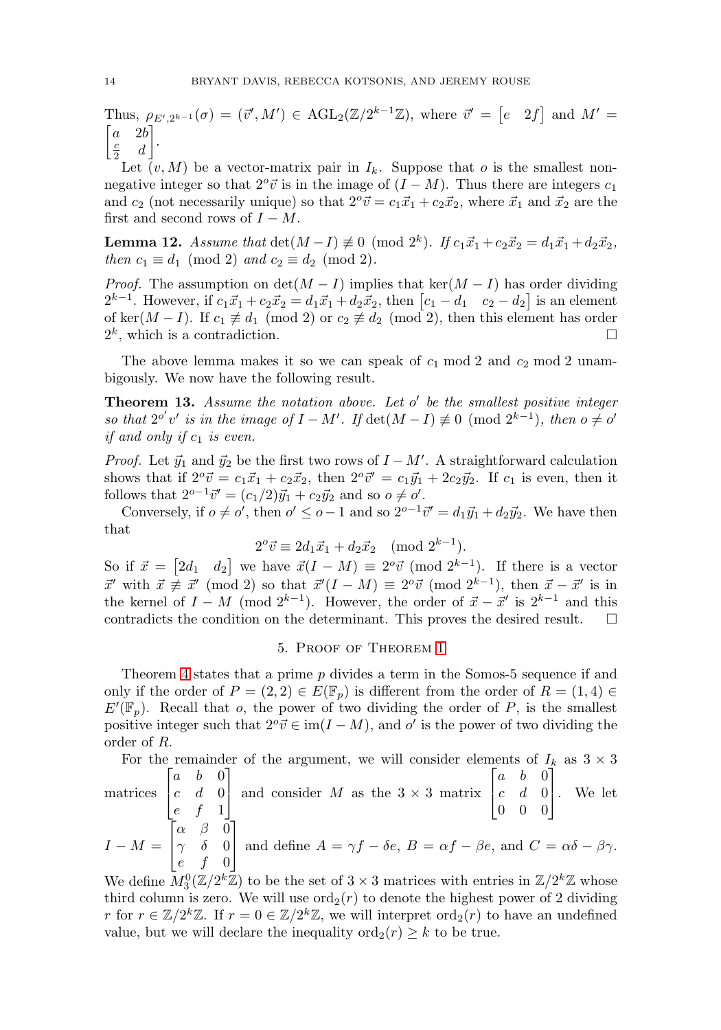Thus,  $\rho_{E',2^{k-1}}(\sigma) = (\vec{v}',M') \in \text{AGL}_2(\mathbb{Z}/2^{k-1}\mathbb{Z}),$  where  $\vec{v}' = [e \quad 2f]$  and  $M' =$  $\begin{bmatrix} a & 2b \\ c & d \end{bmatrix}$ .  $rac{c}{2}$  d

Let  $(v, M)$  be a vector-matrix pair in  $I_k$ . Suppose that o is the smallest nonnegative integer so that  $2^o\vec{v}$  is in the image of  $(I - M)$ . Thus there are integers  $c_1$ and  $c_2$  (not necessarily unique) so that  $2^{\circ} \vec{v} = c_1 \vec{x}_1 + c_2 \vec{x}_2$ , where  $\vec{x}_1$  and  $\vec{x}_2$  are the first and second rows of  $I - M$ .

**Lemma 12.** Assume that  $\det(M - I) \neq 0 \pmod{2^k}$ . If  $c_1 \vec{x}_1 + c_2 \vec{x}_2 = d_1 \vec{x}_1 + d_2 \vec{x}_2$ , then  $c_1 \equiv d_1 \pmod{2}$  and  $c_2 \equiv d_2 \pmod{2}$ .

*Proof.* The assumption on  $\det(M - I)$  implies that  $\ker(M - I)$  has order dividing  $2^{k-1}$ . However, if  $c_1\vec{x}_1 + c_2\vec{x}_2 = d_1\vec{x}_1 + d_2\vec{x}_2$ , then  $[c_1 - d_1 \quad c_2 - d_2]$  is an element of ker( $M-I$ ). If  $c_1 \not\equiv d_1 \pmod{2}$  or  $c_2 \not\equiv d_2 \pmod{2}$ , then this element has order  $2<sup>k</sup>$ , which is a contradiction.  $\Box$ 

The above lemma makes it so we can speak of  $c_1$  mod 2 and  $c_2$  mod 2 unambigously. We now have the following result.

**Theorem 13.** Assume the notation above. Let  $o'$  be the smallest positive integer so that  $2^{o'}v'$  is in the image of  $I - M'$ . If  $\det(M - I) \not\equiv 0 \pmod{2^{k-1}}$ , then  $o \neq o'$ if and only if  $c_1$  is even.

*Proof.* Let  $\vec{y}_1$  and  $\vec{y}_2$  be the first two rows of  $I - M'$ . A straightforward calculation shows that if  $2^{\circ} \vec{v} = c_1 \vec{x}_1 + c_2 \vec{x}_2$ , then  $2^{\circ} \vec{v}' = c_1 \vec{y}_1 + 2c_2 \vec{y}_2$ . If  $c_1$  is even, then it follows that  $2^{o-1}\vec{v}' = (c_1/2)\vec{y}_1 + c_2\vec{y}_2$  and so  $o \neq o'$ .

Conversely, if  $o \neq o'$ , then  $o' \leq o-1$  and so  $2^{o-1} \vec{v}' = d_1 \vec{y}_1 + d_2 \vec{y}_2$ . We have then that

$$
2^o \vec{v} \equiv 2d_1 \vec{x}_1 + d_2 \vec{x}_2 \pmod{2^{k-1}}.
$$

So if  $\vec{x} = [2d_1 \quad d_2]$  we have  $\vec{x}(I - M) \equiv 2^o \vec{v} \pmod{2^{k-1}}$ . If there is a vector  $\vec{x}'$  with  $\vec{x} \not\equiv \vec{x}' \pmod{2}$  so that  $\vec{x}'(I-M) \equiv 2^o \vec{v} \pmod{2^{k-1}}$ , then  $\vec{x} - \vec{x}'$  is in the kernel of  $I - M \pmod{2^{k-1}}$ . However, the order of  $\vec{x} - \vec{x}'$  is  $2^{k-1}$  and this contradicts the condition on the determinant. This proves the desired result.  $\Box$ 

# 5. Proof of Theorem [1](#page-1-0)

Theorem [4](#page-4-0) states that a prime p divides a term in the Somos-5 sequence if and only if the order of  $P = (2, 2) \in E(\mathbb{F}_p)$  is different from the order of  $R = (1, 4) \in$  $E'(\mathbb{F}_p)$ . Recall that o, the power of two dividing the order of P, is the smallest positive integer such that  $2^{\circ} \vec{v} \in \text{im}(I - M)$ , and  $o'$  is the power of two dividing the order of R.

For the remainder of the argument, we will consider elements of  $I_k$  as  $3 \times 3$ matrices  $\lceil$  $\overline{a}$  $a \quad b \quad 0$  $c \quad d \quad 0$ e f 1 ⎤ and consider M as the  $3 \times 3$  matrix  $\lceil$  $\overline{a}$  $a \quad b \quad 0$  $c$  d  $0$  $0\quad 0\quad 0$ ⎤ | We let  $I - M =$  $\lceil$  $\overline{a}$  $\alpha$   $\beta$  0  $\gamma$  δ 0 e f 0 ⎤ and define  $A = \gamma f - \delta e$ ,  $B = \alpha f - \beta e$ , and  $C = \alpha \delta - \beta \gamma$ .

We define  $M_3^0(\mathbb{Z}/2^k\mathbb{Z})$  to be the set of  $3 \times 3$  matrices with entries in  $\mathbb{Z}/2^k\mathbb{Z}$  whose third column is zero. We will use  $\text{ord}_2(r)$  to denote the highest power of 2 dividing r for  $r \in \mathbb{Z}/2^k\mathbb{Z}$ . If  $r = 0 \in \mathbb{Z}/2^k\mathbb{Z}$ , we will interpret  $\text{ord}_2(r)$  to have an undefined value, but we will declare the inequality  $\text{ord}_2(r) \geq k$  to be true.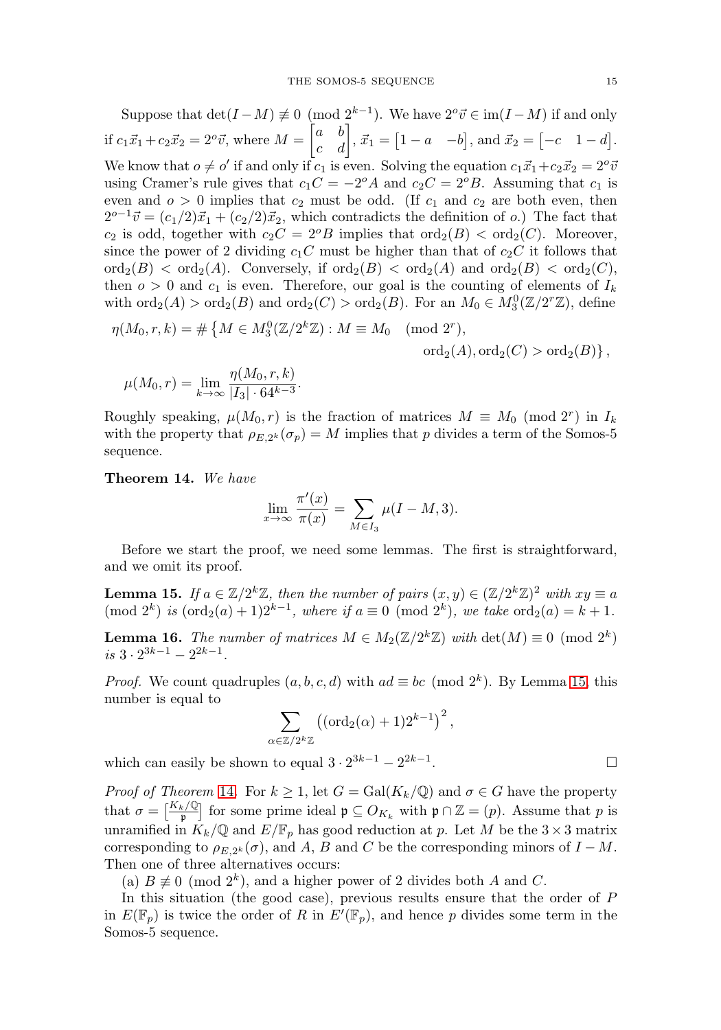Suppose that  $\det(I-M) \neq 0 \pmod{2^{k-1}}$ . We have  $2^{\circ} \vec{v} \in \text{im}(I-M)$  if and only if  $c_1\vec{x}_1 + c_2\vec{x}_2 = 2^o\vec{v}$ , where  $M = \begin{bmatrix} a & b \\ c & d \end{bmatrix}$ ,  $\vec{x}_1 = \begin{bmatrix} 1-a & -b \end{bmatrix}$ , and  $\vec{x}_2 = \begin{bmatrix} -c & 1-d \end{bmatrix}$ . We know that  $o \neq o'$  if and only if  $c_1$  is even. Solving the equation  $c_1\vec{x}_1+c_2\vec{x}_2=2^o\vec{v}$ using Cramer's rule gives that  $c_1C = -2^oA$  and  $c_2C = 2^oB$ . Assuming that  $c_1$  is even and  $o > 0$  implies that  $c_2$  must be odd. (If  $c_1$  and  $c_2$  are both even, then  $2^{o-1}$  $\vec{v} = (c_1/2)\vec{x}_1 + (c_2/2)\vec{x}_2$ , which contradicts the definition of o.) The fact that  $c_2$  is odd, together with  $c_2C = 2^oB$  implies that  $\text{ord}_2(B) < \text{ord}_2(C)$ . Moreover, since the power of 2 dividing  $c_1C$  must be higher than that of  $c_2C$  it follows that  $\text{ord}_2(B) < \text{ord}_2(A)$ . Conversely, if  $\text{ord}_2(B) < \text{ord}_2(A)$  and  $\text{ord}_2(B) < \text{ord}_2(C)$ , then  $o > 0$  and  $c_1$  is even. Therefore, our goal is the counting of elements of  $I_k$ with  $\text{ord}_2(A) > \text{ord}_2(B)$  and  $\text{ord}_2(C) > \text{ord}_2(B)$ . For an  $M_0 \in M_3^0(\mathbb{Z}/2^r\mathbb{Z})$ , define

$$
\eta(M_0, r, k) = #\{M \in M_3^0(\mathbb{Z}/2^k\mathbb{Z}) : M \equiv M_0 \pmod{2^r}, \text{ord}_2(A), \text{ord}_2(C) > \text{ord}_2(B)\},\
$$

$$
\mu(M_0, r) = \lim_{k \to \infty} \frac{\eta(M_0, r, k)}{|I_3| \cdot 64^{k-3}}.
$$

Roughly speaking,  $\mu(M_0, r)$  is the fraction of matrices  $M \equiv M_0 \pmod{2^r}$  in  $I_k$ with the property that  $\rho_{E,2^k}(\sigma_p) = M$  implies that p divides a term of the Somos-5 sequence.

<span id="page-10-1"></span>**Theorem 14.** We have

$$
\lim_{x \to \infty} \frac{\pi'(x)}{\pi(x)} = \sum_{M \in I_3} \mu(I - M, 3).
$$

Before we start the proof, we need some lemmas. The first is straightforward, and we omit its proof.

<span id="page-10-0"></span>**Lemma 15.** If  $a \in \mathbb{Z}/2^k\mathbb{Z}$ , then the number of pairs  $(x, y) \in (\mathbb{Z}/2^k\mathbb{Z})^2$  with  $xy \equiv a$ (mod  $2^k$ ) is  $(\text{ord}_2(a) + 1)2^{k-1}$ , where if  $a \equiv 0 \pmod{2^k}$ , we take  $\text{ord}_2(a) = k+1$ .

<span id="page-10-2"></span>**Lemma 16.** The number of matrices  $M \in M_2(\mathbb{Z}/2^k\mathbb{Z})$  with  $\det(M) \equiv 0 \pmod{2^k}$ is  $3 \cdot 2^{3k-1} - 2^{2k-1}$ .

*Proof.* We count quadruples  $(a, b, c, d)$  with  $ad \equiv bc \pmod{2^k}$ . By Lemma [15,](#page-10-0) this number is equal to

$$
\sum_{\alpha \in \mathbb{Z}/2^k \mathbb{Z}} \left( (\text{ord}_2(\alpha) + 1) 2^{k-1} \right)^2,
$$

which can easily be shown to equal  $3 \cdot 2^{3k-1} - 2^{2k-1}$ .  $\Box$ 

*Proof of Theorem* [14](#page-10-1). For  $k \geq 1$ , let  $G = \text{Gal}(K_k/\mathbb{Q})$  and  $\sigma \in G$  have the property that  $\sigma = \left[\frac{K_k/\mathbb{Q}}{\mathfrak{p}}\right]$  for some prime ideal  $\mathfrak{p} \subseteq O_{K_k}$  with  $\mathfrak{p} \cap \mathbb{Z} = (p)$ . Assume that p is unramified in  $K_k/\mathbb{Q}$  and  $E/\mathbb{F}_p$  has good reduction at p. Let M be the  $3\times 3$  matrix corresponding to  $\rho_{E,2^k}(\sigma)$ , and A, B and C be the corresponding minors of  $I - M$ . Then one of three alternatives occurs:

(a)  $B \not\equiv 0 \pmod{2^k}$ , and a higher power of 2 divides both A and C.

In this situation (the good case), previous results ensure that the order of P in  $E(\mathbb{F}_p)$  is twice the order of R in  $E'(\mathbb{F}_p)$ , and hence p divides some term in the Somos-5 sequence.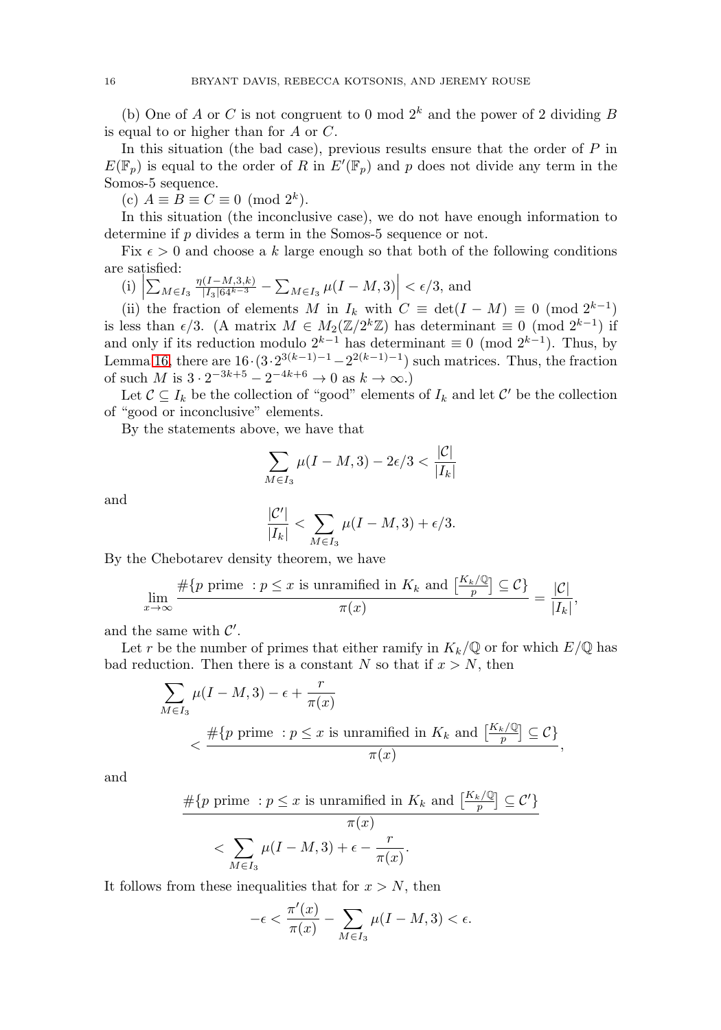(b) One of A or C is not congruent to 0 mod  $2^k$  and the power of 2 dividing B is equal to or higher than for A or C.

In this situation (the bad case), previous results ensure that the order of  $P$  in  $E(\mathbb{F}_p)$  is equal to the order of R in  $E'(\mathbb{F}_p)$  and p does not divide any term in the Somos-5 sequence.

(c)  $A \equiv B \equiv C \equiv 0 \pmod{2^k}$ .

In this situation (the inconclusive case), we do not have enough information to determine if p divides a term in the Somos-5 sequence or not.

Fix  $\epsilon > 0$  and choose a k large enough so that both of the following conditions are satisfied:

(i)  $\left| \sum_{M \in I_3} \frac{\eta(I - M, 3, k)}{|I_3| 64^{k-3}} - \sum_{M \in I_3} \mu(I - M, 3) \right| < \epsilon/3$ , and

(ii) the fraction of elements M in  $I_k$  with  $C \equiv \det(I - M) \equiv 0 \pmod{2^{k-1}}$ is less than  $\epsilon/3$ . (A matrix  $M \in M_2(\mathbb{Z}/2^k\mathbb{Z})$  has determinant  $\equiv 0 \pmod{2^{k-1}}$  if and only if its reduction modulo  $2^{k-1}$  has determinant  $\equiv 0 \pmod{2^{k-1}}$ . Thus, by Lemma [16,](#page-10-2) there are  $16 \cdot (3 \cdot 2^{3(k-1)-1} - 2^{2(k-1)-1})$  such matrices. Thus, the fraction of such M is  $3 \cdot 2^{-3k+5} - 2^{-4k+6} \to 0$  as  $k \to \infty$ .)

Let  $C \subseteq I_k$  be the collection of "good" elements of  $I_k$  and let C' be the collection of "good or inconclusive" elements.

By the statements above, we have that

$$
\sum_{M\in I_3}\mu(I-M,3)-2\epsilon/3<\frac{|\mathcal{C}|}{|I_k|}
$$

and

$$
\frac{|\mathcal{C}'|}{|I_k|} < \sum_{M \in I_3} \mu(I - M, 3) + \epsilon/3.
$$

By the Chebotarev density theorem, we have

$$
\lim_{x \to \infty} \frac{\#\{p \text{ prime} : p \le x \text{ is unramified in } K_k \text{ and } \left[\frac{K_k/\mathbb{Q}}{p}\right] \subseteq \mathcal{C}\}}{\pi(x)} = \frac{|\mathcal{C}|}{|I_k|},
$$

and the same with  $\mathcal{C}'$ .

Let r be the number of primes that either ramify in  $K_k/\mathbb{Q}$  or for which  $E/\mathbb{Q}$  has bad reduction. Then there is a constant N so that if  $x > N$ , then

$$
\sum_{M \in I_3} \mu(I - M, 3) - \epsilon + \frac{r}{\pi(x)}
$$
\n
$$
< \frac{\#\{p \text{ prime} : p \le x \text{ is unramified in } K_k \text{ and } \left[\frac{K_k/\mathbb{Q}}{p}\right] \subseteq C\}}{\pi(x)},
$$

and

$$
\frac{\#\{p \text{ prime}: p \le x \text{ is unramified in } K_k \text{ and } \left[\frac{K_k/\mathbb{Q}}{p}\right] \subseteq \mathcal{C}'\}}{\pi(x)} < \sum_{M \in I_3} \mu(I - M, 3) + \epsilon - \frac{r}{\pi(x)}.
$$

It follows from these inequalities that for  $x > N$ , then

$$
-\epsilon < \frac{\pi'(x)}{\pi(x)} - \sum_{M \in I_3} \mu(I - M, 3) < \epsilon.
$$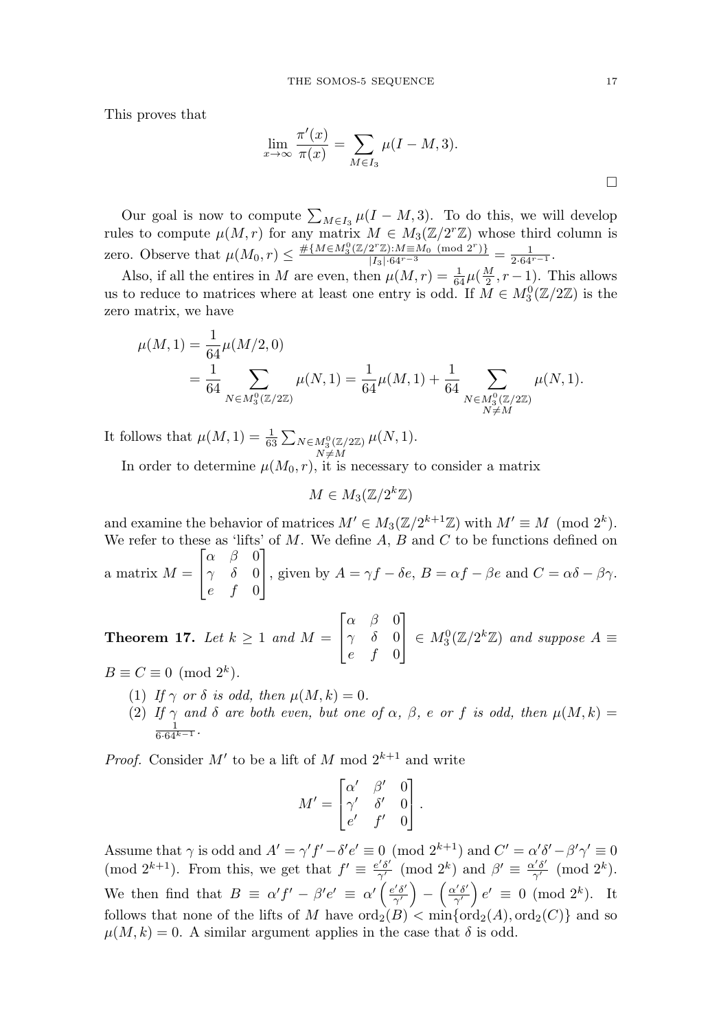This proves that

$$
\lim_{x \to \infty} \frac{\pi'(x)}{\pi(x)} = \sum_{M \in I_3} \mu(I - M, 3).
$$

Our goal is now to compute  $\sum_{M\in I_3}\mu(I-M,3)$ . To do this, we will develop rules to compute  $\mu(M,r)$  for any matrix  $M \in M_3(\mathbb{Z}/2r\mathbb{Z})$  whose third column is zero. Observe that  $\mu(M_0, r) \leq \frac{\#\{M \in M_3^0(\mathbb{Z}/2^r\mathbb{Z}): M \equiv M_0 \pmod{2^r}\}}{|I_3| \cdot 64^{r-3}} = \frac{1}{2 \cdot 64^{r-1}}$ .

Also, if all the entires in M are even, then  $\mu(M,r) = \frac{1}{64}\mu(\frac{M}{2}, r - 1)$ . This allows us to reduce to matrices where at least one entry is odd. If  $\overline{M} \in M_3^0(\mathbb{Z}/2\mathbb{Z})$  is the zero matrix, we have

$$
\begin{split} \mu(M,1) &= \frac{1}{64} \mu(M/2,0) \\ &= \frac{1}{64} \sum_{N \in M_3^0(\mathbb{Z}/2\mathbb{Z})} \mu(N,1) = \frac{1}{64} \mu(M,1) + \frac{1}{64} \sum_{\substack{N \in M_3^0(\mathbb{Z}/2\mathbb{Z}) \\ N \neq M}} \mu(N,1). \end{split}
$$

It follows that  $\mu(M, 1) = \frac{1}{63} \sum_{\substack{N \in M_3^0(\mathbb{Z}/2\mathbb{Z}) \\ N \neq M}}$  $\mu(N,1).$ 

In order to determine  $\mu(M_0, r)$ , it is necessary to consider a matrix

$$
M\in M_3(\mathbb{Z}/2^k\mathbb{Z})
$$

and examine the behavior of matrices  $M' \in M_3(\mathbb{Z}/2^{k+1}\mathbb{Z})$  with  $M' \equiv M \pmod{2^k}$ . We refer to these as 'lifts' of  $M$ . We define  $A$ ,  $B$  and  $C$  to be functions defined on a matrix  $M =$  $\lceil$  $\overline{a}$  $\alpha$   $\beta$  0  $\gamma$  δ 0  $e \quad f \quad 0$ ⎤ , given by  $A = \gamma f - \delta e$ ,  $B = \alpha f - \beta e$  and  $C = \alpha \delta - \beta \gamma$ .

<span id="page-12-0"></span>**Theorem 17.** Let  $k \geq 1$  and  $M =$  $\begin{bmatrix} \phantom{-} \\ \phantom{-} \end{bmatrix}$  $\overline{a}$  $\alpha$   $\beta$   $0$  $\gamma$  δ 0  $e$  f 0 ⎤  $\Big\vert \in M_3^0(\mathbb{Z}/2^k\mathbb{Z})$  and suppose  $A \equiv$ 

- $B \equiv C \equiv 0 \pmod{2^k}$ .
	- (1) If  $\gamma$  or  $\delta$  is odd, then  $\mu(M, k)=0$ .
	- (2) If  $\gamma$  and  $\delta$  are both even, but one of  $\alpha$ ,  $\beta$ , e or f is odd, then  $\mu(M, k) = \frac{1}{6 \cdot 64^{k-1}}$ .

*Proof.* Consider M' to be a lift of M mod  $2^{k+1}$  and write

$$
M' = \begin{bmatrix} \alpha' & \beta' & 0 \\ \gamma' & \delta' & 0 \\ e' & f' & 0 \end{bmatrix}.
$$

Assume that  $\gamma$  is odd and  $A' = \gamma' f' - \delta' e' \equiv 0 \pmod{2^{k+1}}$  and  $C' = \alpha' \delta' - \beta' \gamma' \equiv 0$ (mod  $2^{k+1}$ ). From this, we get that  $f' \equiv \frac{e'\delta'}{\gamma'} \pmod{2^k}$  and  $\beta' \equiv \frac{\alpha'\delta'}{\gamma'} \pmod{2^k}$ . We then find that  $B \equiv \alpha' f' - \beta' e' \equiv \alpha' \left( \frac{e' \delta'}{\gamma'} \right) - \left( \frac{\alpha' \delta'}{\gamma'} \right) e' \equiv 0 \pmod{2^k}$ . It follows that none of the lifts of M have  $\text{ord}_2(B) < \min{\{\text{ord}_2(A), \text{ord}_2(C)\}}$  and so  $\mu(M, k) = 0$ . A similar argument applies in the case that  $\delta$  is odd.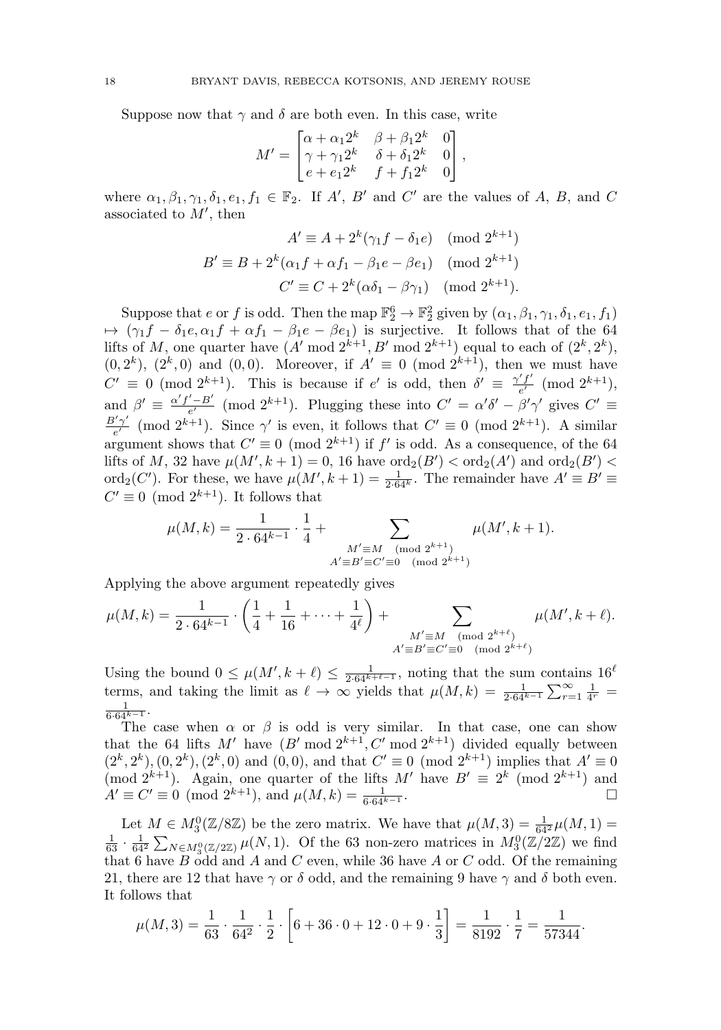Suppose now that  $\gamma$  and  $\delta$  are both even. In this case, write

$$
M' = \begin{bmatrix} \alpha + \alpha_1 2^k & \beta + \beta_1 2^k & 0 \\ \gamma + \gamma_1 2^k & \delta + \delta_1 2^k & 0 \\ e + e_1 2^k & f + f_1 2^k & 0 \end{bmatrix},
$$

where  $\alpha_1, \beta_1, \gamma_1, \delta_1, e_1, f_1 \in \mathbb{F}_2$ . If A', B' and C' are the values of A, B, and C associated to  $M'$ , then

$$
A' \equiv A + 2^k(\gamma_1 f - \delta_1 e) \pmod{2^{k+1}}
$$
  

$$
B' \equiv B + 2^k(\alpha_1 f + \alpha f_1 - \beta_1 e - \beta e_1) \pmod{2^{k+1}}
$$
  

$$
C' \equiv C + 2^k(\alpha \delta_1 - \beta \gamma_1) \pmod{2^{k+1}}.
$$

Suppose that e or f is odd. Then the map  $\mathbb{F}_2^6 \to \mathbb{F}_2^2$  given by  $(\alpha_1, \beta_1, \gamma_1, \delta_1, e_1, f_1)$  $\mapsto (\gamma_1 f - \delta_1 e, \alpha_1 f + \alpha f_1 - \beta_1 e - \beta e_1)$  is surjective. It follows that of the 64 lifts of M, one quarter have  $(A' \bmod 2^{k+1}, B' \bmod 2^{k+1})$  equal to each of  $(2^k, 2^k)$ ,  $(0, 2^k)$ ,  $(2^k, 0)$  and  $(0, 0)$ . Moreover, if  $A' \equiv 0 \pmod{2^{k+1}}$ , then we must have  $C' \equiv 0 \pmod{2^{k+1}}$ . This is because if  $e'$  is odd, then  $\delta' \equiv \frac{\gamma' f'}{e'} \pmod{2^{k+1}}$ , and  $\beta' \equiv \frac{\alpha' f' - B'}{e'} \pmod{2^{k+1}}$ . Plugging these into  $C' = \alpha' \delta' - \beta' \gamma'$  gives  $C' \equiv$  $\frac{B'\gamma'}{e'}$  (mod  $2^{k+1}$ ). Since  $\gamma'$  is even, it follows that  $C' \equiv 0 \pmod{2^{k+1}}$ . A similar argument shows that  $C' \equiv 0 \pmod{2^{k+1}}$  if f' is odd. As a consequence, of the 64 lifts of M, 32 have  $\mu(M', k + 1) = 0$ , 16 have  $\text{ord}_2(B') < \text{ord}_2(A')$  and  $\text{ord}_2(B') <$ ord<sub>2</sub>(C'). For these, we have  $\mu(M', k+1) = \frac{1}{2 \cdot 64^k}$ . The remainder have  $A' \equiv B' \equiv$  $C' \equiv 0 \pmod{2^{k+1}}$ . It follows that

$$
\mu(M,k) = \frac{1}{2 \cdot 64^{k-1}} \cdot \frac{1}{4} + \sum_{\substack{M' \equiv M \pmod{2^{k+1}}\\ A' \equiv B' \equiv C' \equiv 0 \pmod{2^{k+1}}}} \mu(M',k+1).
$$

Applying the above argument repeatedly gives

$$
\mu(M,k) = \frac{1}{2 \cdot 64^{k-1}} \cdot \left(\frac{1}{4} + \frac{1}{16} + \dots + \frac{1}{4^{\ell}}\right) + \sum_{\substack{M' \equiv M \pmod{2^{k+\ell}} \\ A' \equiv B' \equiv C' \equiv 0 \pmod{2^{k+\ell}}}} \mu(M',k+\ell).
$$

Using the bound  $0 \leq \mu(M', k + \ell) \leq \frac{1}{2 \cdot 64^{k+\ell-1}}$ , noting that the sum contains  $16^{\ell}$ terms, and taking the limit as  $\ell \to \infty$  yields that  $\mu(M, k) = \frac{1}{2.64^{k-1}} \sum_{r=1}^{\infty} \frac{1}{4^r} = \frac{1}{2.64^{k-1}}$  $\frac{1}{6 \cdot 64^{k-1}}$ .

The case when  $\alpha$  or  $\beta$  is odd is very similar. In that case, one can show that the 64 lifts M' have  $(B' \text{ mod } 2^{k+1}, C' \text{ mod } 2^{k+1})$  divided equally between  $(2^k, 2^k), (0, 2^k), (2^k, 0)$  and  $(0, 0)$ , and that  $C' \equiv 0 \pmod{2^{k+1}}$  implies that  $A' \equiv 0$ (mod  $2^{k+1}$ ). Again, one quarter of the lifts M' have  $B' \equiv 2^k \pmod{2^{k+1}}$  and  $A' \equiv C' \equiv 0 \pmod{2^{k+1}}$ , and  $\mu(M, k) = \frac{1}{6 \cdot 64^{k-1}}$ .  $\Box$ 

Let  $M \in M_3^0(\mathbb{Z}/8\mathbb{Z})$  be the zero matrix. We have that  $\mu(M, 3) = \frac{1}{64^2} \mu(M, 1) =$  $\frac{1}{63} \cdot \frac{1}{64^2} \sum_{N \in M_3^0(\mathbb{Z}/2\mathbb{Z})} \mu(N, 1)$ . Of the 63 non-zero matrices in  $M_3^0(\mathbb{Z}/2\mathbb{Z})$  we find that 6 have  $B$  odd and  $A$  and  $C$  even, while 36 have  $A$  or  $C$  odd. Of the remaining 21, there are 12 that have  $\gamma$  or  $\delta$  odd, and the remaining 9 have  $\gamma$  and  $\delta$  both even. It follows that

$$
\mu(M,3) = \frac{1}{63} \cdot \frac{1}{64^2} \cdot \frac{1}{2} \cdot \left[ 6 + 36 \cdot 0 + 12 \cdot 0 + 9 \cdot \frac{1}{3} \right] = \frac{1}{8192} \cdot \frac{1}{7} = \frac{1}{57344}.
$$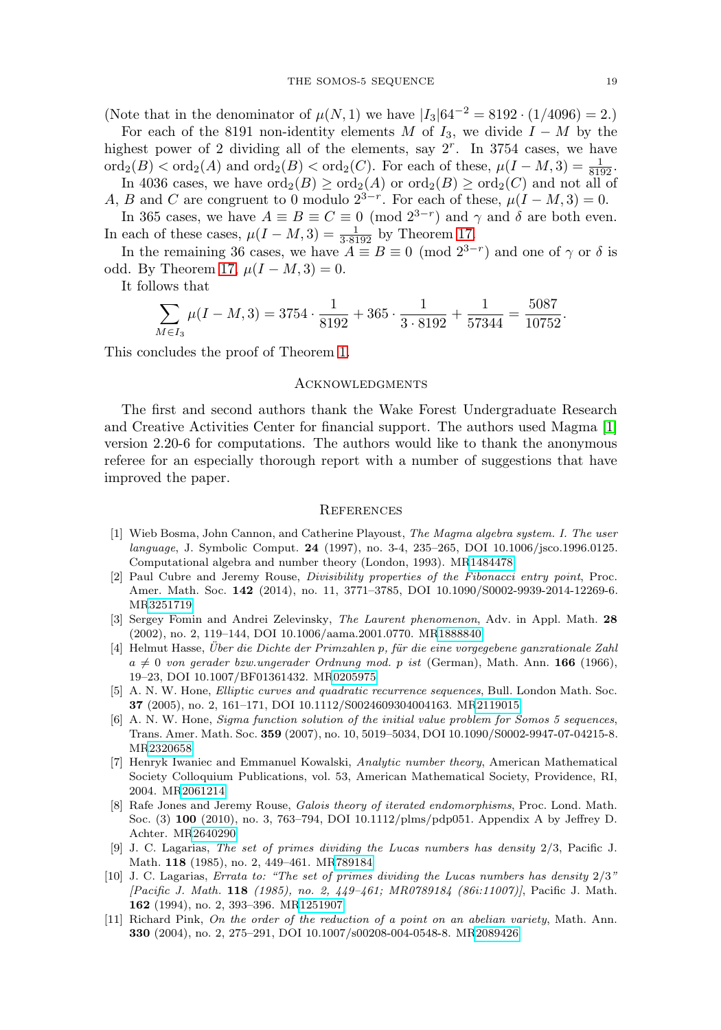(Note that in the denominator of  $\mu(N, 1)$  we have  $|I_3|64^{-2} = 8192 \cdot (1/4096) = 2$ .)

For each of the 8191 non-identity elements M of  $I_3$ , we divide  $I - M$  by the highest power of 2 dividing all of the elements, say  $2<sup>r</sup>$ . In 3754 cases, we have  $\text{ord}_2(B) < \text{ord}_2(A)$  and  $\text{ord}_2(B) < \text{ord}_2(C)$ . For each of these,  $\mu(I-M, 3) = \frac{1}{8192}$ .

In 4036 cases, we have  $\text{ord}_2(B) \ge \text{ord}_2(A)$  or  $\text{ord}_2(B) \ge \text{ord}_2(C)$  and not all of A, B and C are congruent to 0 modulo  $2^{3-r}$ . For each of these,  $\mu(I-M,3) = 0$ .

In 365 cases, we have  $A \equiv B \equiv C \equiv 0 \pmod{2^{3-r}}$  and  $\gamma$  and  $\delta$  are both even. In each of these cases,  $\mu(I - M, 3) = \frac{1}{3 \cdot 8192}$  by Theorem [17.](#page-12-0)

In the remaining 36 cases, we have  $A \equiv B \equiv 0 \pmod{2^{3-r}}$  and one of  $\gamma$  or  $\delta$  is odd. By Theorem [17,](#page-12-0)  $\mu(I - M, 3) = 0$ .

It follows that

$$
\sum_{M \in I_3} \mu(I - M, 3) = 3754 \cdot \frac{1}{8192} + 365 \cdot \frac{1}{3 \cdot 8192} + \frac{1}{57344} = \frac{5087}{10752}.
$$

This concludes the proof of Theorem [1.](#page-1-0)

### **ACKNOWLEDGMENTS**

The first and second authors thank the Wake Forest Undergraduate Research and Creative Activities Center for financial support. The authors used Magma [\[1\]](#page-14-10) version 2.20-6 for computations. The authors would like to thank the anonymous referee for an especially thorough report with a number of suggestions that have improved the paper.

#### **REFERENCES**

- <span id="page-14-10"></span>[1] Wieb Bosma, John Cannon, and Catherine Playoust, The Magma algebra system. I. The user language, J. Symbolic Comput. **24** (1997), no. 3-4, 235–265, DOI 10.1006/jsco.1996.0125. Computational algebra and number theory (London, 1993). M[R1484478](http://www.ams.org/mathscinet-getitem?mr=1484478)
- <span id="page-14-3"></span>[2] Paul Cubre and Jeremy Rouse, Divisibility properties of the Fibonacci entry point, Proc. Amer. Math. Soc. **142** (2014), no. 11, 3771–3785, DOI 10.1090/S0002-9939-2014-12269-6. M[R3251719](http://www.ams.org/mathscinet-getitem?mr=3251719)
- <span id="page-14-4"></span>[3] Sergey Fomin and Andrei Zelevinsky, The Laurent phenomenon, Adv. in Appl. Math. **28** (2002), no. 2, 119–144, DOI 10.1006/aama.2001.0770. M[R1888840](http://www.ams.org/mathscinet-getitem?mr=1888840)
- <span id="page-14-0"></span>[4] Helmut Hasse, Uber die Dichte der Primzahlen p, für die eine vorgegebene ganzrationale Zahl  $a \neq 0$  von gerader bzw.ungerader Ordnung mod. p ist (German), Math. Ann. **166** (1966), 19–23, DOI 10.1007/BF01361432. M[R0205975](http://www.ams.org/mathscinet-getitem?mr=0205975)
- <span id="page-14-5"></span>[5] A. N. W. Hone, Elliptic curves and quadratic recurrence sequences, Bull. London Math. Soc. **37** (2005), no. 2, 161–171, DOI 10.1112/S0024609304004163. M[R2119015](http://www.ams.org/mathscinet-getitem?mr=2119015)
- <span id="page-14-6"></span>[6] A. N. W. Hone, Sigma function solution of the initial value problem for Somos 5 sequences, Trans. Amer. Math. Soc. **359** (2007), no. 10, 5019–5034, DOI 10.1090/S0002-9947-07-04215-8. M[R2320658](http://www.ams.org/mathscinet-getitem?mr=2320658)
- <span id="page-14-9"></span>[7] Henryk Iwaniec and Emmanuel Kowalski, Analytic number theory, American Mathematical Society Colloquium Publications, vol. 53, American Mathematical Society, Providence, RI, 2004. M[R2061214](http://www.ams.org/mathscinet-getitem?mr=2061214)
- <span id="page-14-7"></span>[8] Rafe Jones and Jeremy Rouse, Galois theory of iterated endomorphisms, Proc. Lond. Math. Soc. (3) **100** (2010), no. 3, 763–794, DOI 10.1112/plms/pdp051. Appendix A by Jeffrey D. Achter. M[R2640290](http://www.ams.org/mathscinet-getitem?mr=2640290)
- <span id="page-14-1"></span>[9] J. C. Lagarias, The set of primes dividing the Lucas numbers has density 2/3, Pacific J. Math. **118** (1985), no. 2, 449–461. M[R789184](http://www.ams.org/mathscinet-getitem?mr=789184)
- <span id="page-14-2"></span>[10] J. C. Lagarias, Errata to: "The set of primes dividing the Lucas numbers has density 2/3" [Pacific J. Math. **118** (1985), no. 2, 449–461; MR0789184 (86i:11007)], Pacific J. Math. **162** (1994), no. 2, 393–396. M[R1251907](http://www.ams.org/mathscinet-getitem?mr=1251907)
- <span id="page-14-8"></span>[11] Richard Pink, On the order of the reduction of a point on an abelian variety, Math. Ann. **330** (2004), no. 2, 275–291, DOI 10.1007/s00208-004-0548-8. M[R2089426](http://www.ams.org/mathscinet-getitem?mr=2089426)